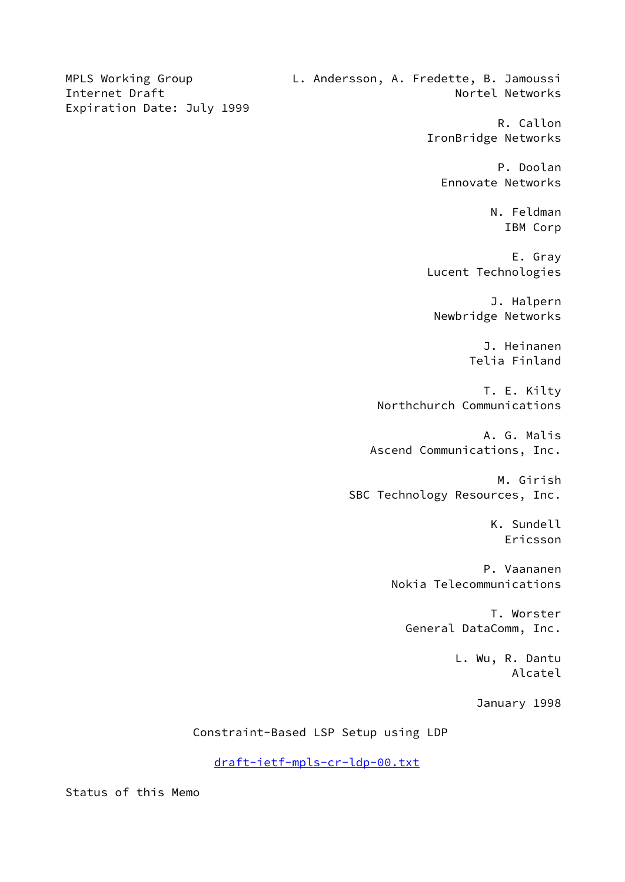MPLS Working Group L. Andersson, A. Fredette, B. Jamoussi Internet Draft Nortel Networks Expiration Date: July 1999 R. Callon IronBridge Networks P. Doolan Ennovate Networks N. Feldman IBM Corp E. Gray Lucent Technologies J. Halpern Newbridge Networks J. Heinanen Telia Finland T. E. Kilty Northchurch Communications A. G. Malis Ascend Communications, Inc. M. Girish SBC Technology Resources, Inc. K. Sundell Ericsson P. Vaananen Nokia Telecommunications T. Worster General DataComm, Inc. L. Wu, R. Dantu Alcatel January 1998 Constraint-Based LSP Setup using LDP

[draft-ietf-mpls-cr-ldp-00.txt](https://datatracker.ietf.org/doc/pdf/draft-ietf-mpls-cr-ldp-00.txt)

Status of this Memo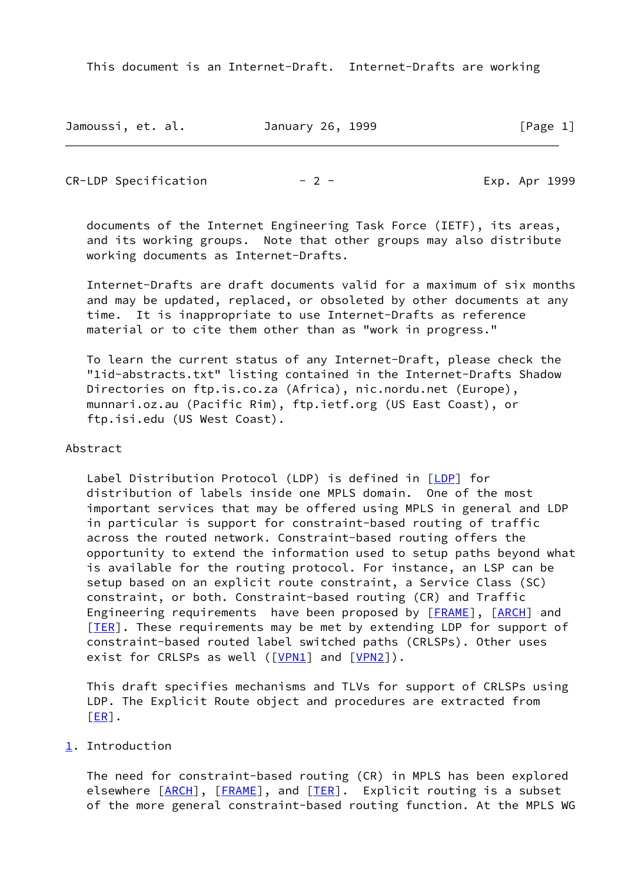| Jamoussi, et. al. | January 26, 1999 | [Page 1] |
|-------------------|------------------|----------|
|-------------------|------------------|----------|

 $CR-LDP$  Specification  $-2$  -  $\qquad$  Exp. Apr 1999

 documents of the Internet Engineering Task Force (IETF), its areas, and its working groups. Note that other groups may also distribute working documents as Internet-Drafts.

 Internet-Drafts are draft documents valid for a maximum of six months and may be updated, replaced, or obsoleted by other documents at any time. It is inappropriate to use Internet-Drafts as reference material or to cite them other than as "work in progress."

 To learn the current status of any Internet-Draft, please check the "1id-abstracts.txt" listing contained in the Internet-Drafts Shadow Directories on ftp.is.co.za (Africa), nic.nordu.net (Europe), munnari.oz.au (Pacific Rim), ftp.ietf.org (US East Coast), or ftp.isi.edu (US West Coast).

## Abstract

 Label Distribution Protocol (LDP) is defined in [\[LDP](#page-23-0)] for distribution of labels inside one MPLS domain. One of the most important services that may be offered using MPLS in general and LDP in particular is support for constraint-based routing of traffic across the routed network. Constraint-based routing offers the opportunity to extend the information used to setup paths beyond what is available for the routing protocol. For instance, an LSP can be setup based on an explicit route constraint, a Service Class (SC) constraint, or both. Constraint-based routing (CR) and Traffic Engineering requirements have been proposed by [\[FRAME](#page-23-1)], [\[ARCH](#page-23-2)] and [\[TER](#page-23-3)]. These requirements may be met by extending LDP for support of constraint-based routed label switched paths (CRLSPs). Other uses exist for CRLSPs as well ([[VPN1\]](#page-23-4) and [\[VPN2](#page-23-5)]).

 This draft specifies mechanisms and TLVs for support of CRLSPs using LDP. The Explicit Route object and procedures are extracted from  $[ER]$ .

## <span id="page-1-0"></span>[1](#page-1-0). Introduction

 The need for constraint-based routing (CR) in MPLS has been explored elsewhere  $[ARCH]$  $[ARCH]$ ,  $[FRAME]$  $[FRAME]$ , and  $[TER]$  $[TER]$ . Explicit routing is a subset of the more general constraint-based routing function. At the MPLS WG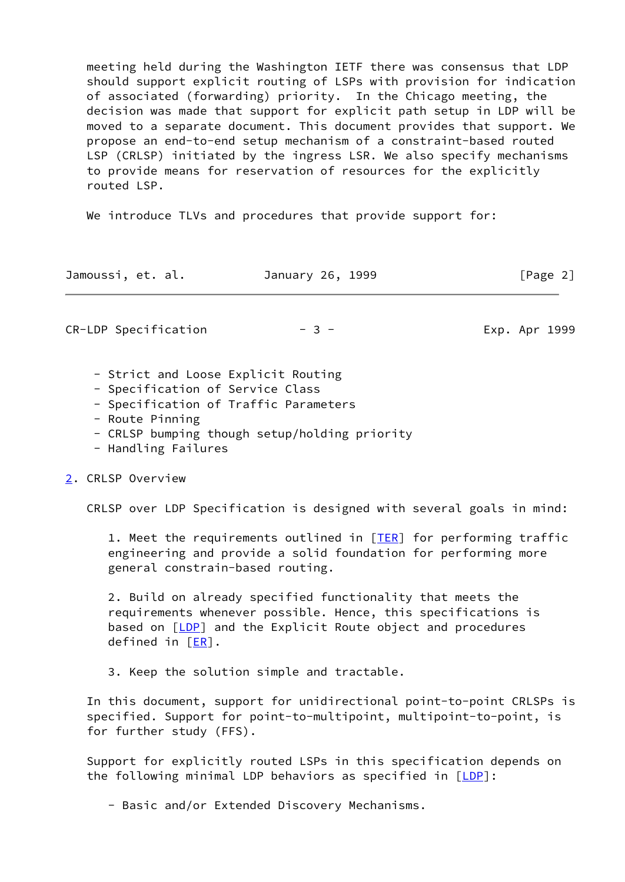meeting held during the Washington IETF there was consensus that LDP should support explicit routing of LSPs with provision for indication of associated (forwarding) priority. In the Chicago meeting, the decision was made that support for explicit path setup in LDP will be moved to a separate document. This document provides that support. We propose an end-to-end setup mechanism of a constraint-based routed LSP (CRLSP) initiated by the ingress LSR. We also specify mechanisms to provide means for reservation of resources for the explicitly routed LSP.

We introduce TLVs and procedures that provide support for:

| Jamoussi, et. al. | January 26, 1999 | [Page 2] |
|-------------------|------------------|----------|
|                   |                  |          |

CR-LDP Specification  $-3$  - Exp. Apr 1999

- Strict and Loose Explicit Routing

- Specification of Service Class
- Specification of Traffic Parameters
- Route Pinning
- CRLSP bumping though setup/holding priority
- Handling Failures

#### <span id="page-2-0"></span>[2](#page-2-0). CRLSP Overview

CRLSP over LDP Specification is designed with several goals in mind:

 1. Meet the requirements outlined in [\[TER](#page-23-3)] for performing traffic engineering and provide a solid foundation for performing more general constrain-based routing.

 2. Build on already specified functionality that meets the requirements whenever possible. Hence, this specifications is based on [\[LDP](#page-23-0)] and the Explicit Route object and procedures defined in [[ER\]](#page-23-6).

3. Keep the solution simple and tractable.

 In this document, support for unidirectional point-to-point CRLSPs is specified. Support for point-to-multipoint, multipoint-to-point, is for further study (FFS).

 Support for explicitly routed LSPs in this specification depends on the following minimal LDP behaviors as specified in  $[LDP]$  $[LDP]$ :

- Basic and/or Extended Discovery Mechanisms.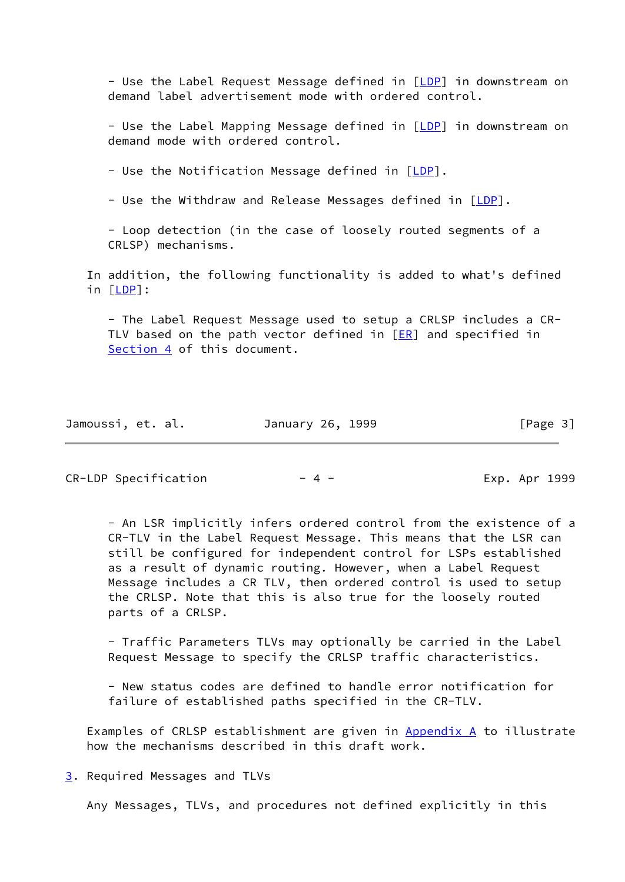- Use the Label Request Message defined in [[LDP](#page-23-0)] in downstream on demand label advertisement mode with ordered control.

- Use the Label Mapping Message defined in [[LDP](#page-23-0)] in downstream on demand mode with ordered control.

- Use the Notification Message defined in  $[LDP]$  $[LDP]$ .

- Use the Withdraw and Release Messages defined in [[LDP](#page-23-0)].

 - Loop detection (in the case of loosely routed segments of a CRLSP) mechanisms.

 In addition, the following functionality is added to what's defined in [[LDP\]](#page-23-0):

 - The Label Request Message used to setup a CRLSP includes a CR- TLV based on the path vector defined in [[ER\]](#page-23-6) and specified in [Section 4](#page-5-0) of this document.

| Jamoussi, et. al. | January 26, 1999 | [Page 3] |
|-------------------|------------------|----------|
|-------------------|------------------|----------|

CR-LDP Specification  $-4$  - The Exp. Apr 1999

 - An LSR implicitly infers ordered control from the existence of a CR-TLV in the Label Request Message. This means that the LSR can still be configured for independent control for LSPs established as a result of dynamic routing. However, when a Label Request Message includes a CR TLV, then ordered control is used to setup the CRLSP. Note that this is also true for the loosely routed parts of a CRLSP.

 - Traffic Parameters TLVs may optionally be carried in the Label Request Message to specify the CRLSP traffic characteristics.

 - New status codes are defined to handle error notification for failure of established paths specified in the CR-TLV.

 Examples of CRLSP establishment are given in Appendix A to illustrate how the mechanisms described in this draft work.

<span id="page-3-0"></span>[3](#page-3-0). Required Messages and TLVs

Any Messages, TLVs, and procedures not defined explicitly in this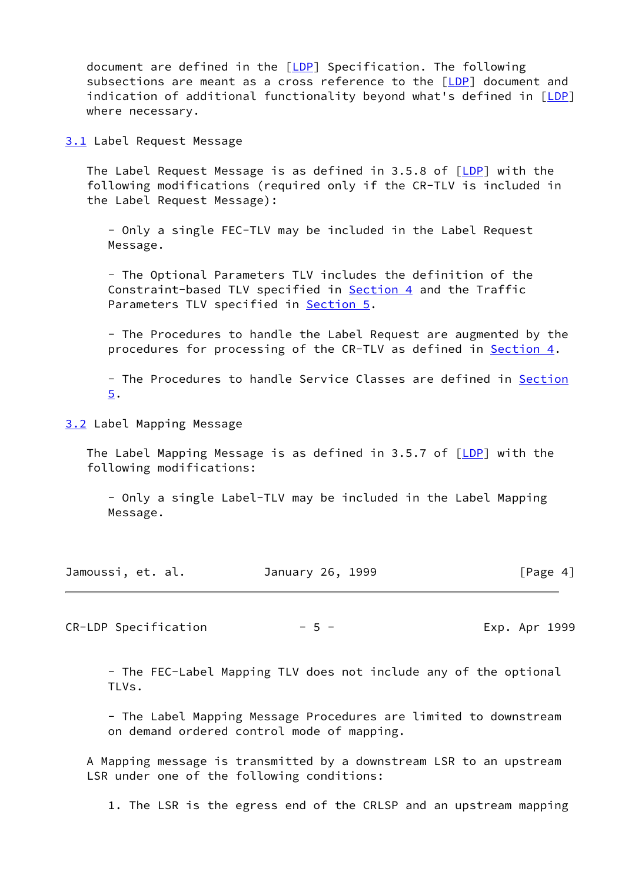document are defined in the [\[LDP](#page-23-0)] Specification. The following subsections are meant as a cross reference to the [[LDP](#page-23-0)] document and indication of additional functionality beyond what's defined in [\[LDP](#page-23-0)] where necessary.

<span id="page-4-0"></span>[3.1](#page-4-0) Label Request Message

The Label Request Message is as defined in 3.5.8 of  $[LDP]$  $[LDP]$  with the following modifications (required only if the CR-TLV is included in the Label Request Message):

 - Only a single FEC-TLV may be included in the Label Request Message.

 - The Optional Parameters TLV includes the definition of the Constraint-based TLV specified in [Section 4](#page-5-0) and the Traffic Parameters TLV specified in **Section 5.** 

 - The Procedures to handle the Label Request are augmented by the procedures for processing of the CR-TLV as defined in [Section 4](#page-5-0).

 - The Procedures to handle Service Classes are defined in Section 5.

<span id="page-4-1"></span>[3.2](#page-4-1) Label Mapping Message

The Label Mapping Message is as defined in 3.5.7 of  $[LDP]$  $[LDP]$  with the following modifications:

 - Only a single Label-TLV may be included in the Label Mapping Message.

| Jamoussi, et. al. | January 26, 1999 | [Page 4] |
|-------------------|------------------|----------|
|-------------------|------------------|----------|

CR-LDP Specification  $-5$  - The Exp. Apr 1999

 - The FEC-Label Mapping TLV does not include any of the optional TLVs.

 - The Label Mapping Message Procedures are limited to downstream on demand ordered control mode of mapping.

 A Mapping message is transmitted by a downstream LSR to an upstream LSR under one of the following conditions:

1. The LSR is the egress end of the CRLSP and an upstream mapping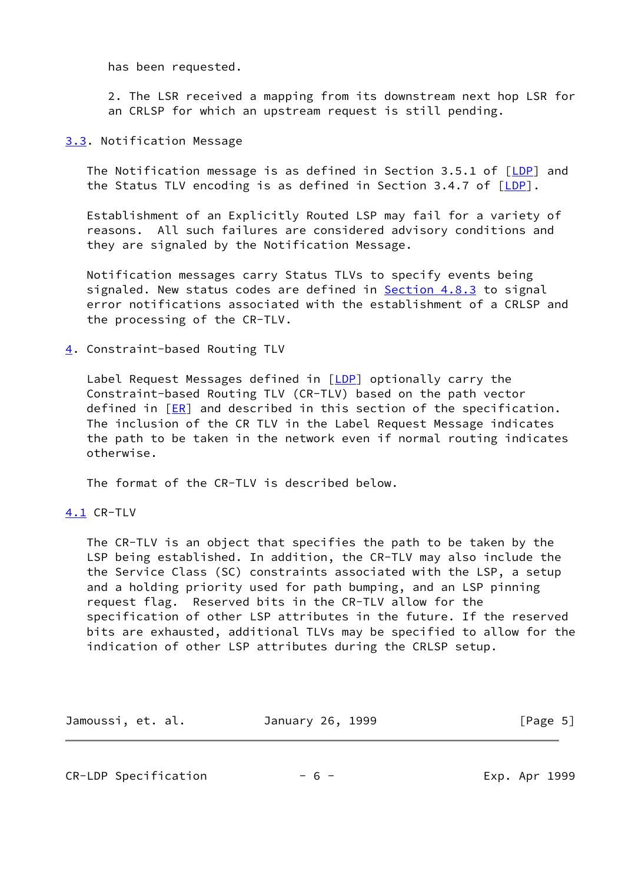has been requested.

 2. The LSR received a mapping from its downstream next hop LSR for an CRLSP for which an upstream request is still pending.

### <span id="page-5-1"></span>[3.3](#page-5-1). Notification Message

The Notification message is as defined in Section 3.5.1 of  $[LDP]$  $[LDP]$  and the Status TLV encoding is as defined in Section 3.4.7 of  $[LDP]$  $[LDP]$  $[LDP]$ .

 Establishment of an Explicitly Routed LSP may fail for a variety of reasons. All such failures are considered advisory conditions and they are signaled by the Notification Message.

 Notification messages carry Status TLVs to specify events being signaled. New status codes are defined in [Section 4.8.3](#page-16-0) to signal error notifications associated with the establishment of a CRLSP and the processing of the CR-TLV.

<span id="page-5-0"></span>[4](#page-5-0). Constraint-based Routing TLV

Label Request Messages defined in  $[LDP]$  $[LDP]$  $[LDP]$  optionally carry the Constraint-based Routing TLV (CR-TLV) based on the path vector defined in  $[ER]$  $[ER]$  and described in this section of the specification. The inclusion of the CR TLV in the Label Request Message indicates the path to be taken in the network even if normal routing indicates otherwise.

The format of the CR-TLV is described below.

<span id="page-5-2"></span>[4.1](#page-5-2) CR-TLV

 The CR-TLV is an object that specifies the path to be taken by the LSP being established. In addition, the CR-TLV may also include the the Service Class (SC) constraints associated with the LSP, a setup and a holding priority used for path bumping, and an LSP pinning request flag. Reserved bits in the CR-TLV allow for the specification of other LSP attributes in the future. If the reserved bits are exhausted, additional TLVs may be specified to allow for the indication of other LSP attributes during the CRLSP setup.

| Jamoussi, et. al. | January 26, 1999 | [Page 5] |
|-------------------|------------------|----------|
|-------------------|------------------|----------|

 $CR-LDP$  Specification  $-6$  -  $-$  Exp. Apr 1999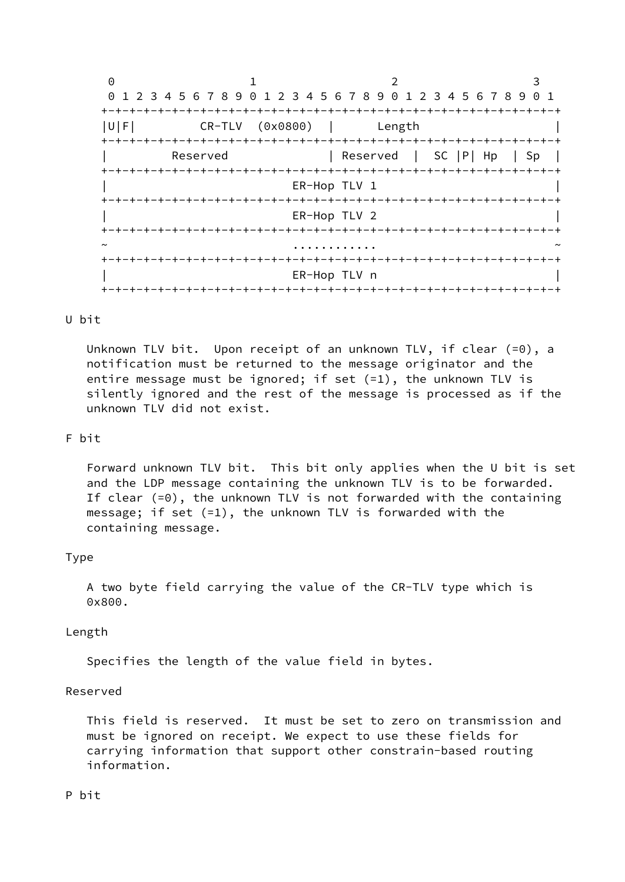0 1 2 3 0 1 2 3 4 5 6 7 8 9 0 1 2 3 4 5 6 7 8 9 0 1 2 3 4 5 6 7 8 9 0 1 +-+-+-+-+-+-+-+-+-+-+-+-+-+-+-+-+-+-+-+-+-+-+-+-+-+-+-+-+-+-+-+-+ |U|F| CR-TLV (0x0800) | Length | +-+-+-+-+-+-+-+-+-+-+-+-+-+-+-+-+-+-+-+-+-+-+-+-+-+-+-+-+-+-+-+-+ Reserved | Reserved | SC |P| Hp | Sp | +-+-+-+-+-+-+-+-+-+-+-+-+-+-+-+-+-+-+-+-+-+-+-+-+-+-+-+-+-+-+-+-+ ER-Hop TLV 1 +-+-+-+-+-+-+-+-+-+-+-+-+-+-+-+-+-+-+-+-+-+-+-+-+-+-+-+-+-+-+-+-+ ER-Hop TLV 2 +-+-+-+-+-+-+-+-+-+-+-+-+-+-+-+-+-+-+-+-+-+-+-+-+-+-+-+-+-+-+-+-+ ~ ............ ~ +-+-+-+-+-+-+-+-+-+-+-+-+-+-+-+-+-+-+-+-+-+-+-+-+-+-+-+-+-+-+-+-+ ER-Hop TLV n +-+-+-+-+-+-+-+-+-+-+-+-+-+-+-+-+-+-+-+-+-+-+-+-+-+-+-+-+-+-+-+-+

## U bit

 Unknown TLV bit. Upon receipt of an unknown TLV, if clear (=0), a notification must be returned to the message originator and the entire message must be ignored; if set (=1), the unknown TLV is silently ignored and the rest of the message is processed as if the unknown TLV did not exist.

## F bit

 Forward unknown TLV bit. This bit only applies when the U bit is set and the LDP message containing the unknown TLV is to be forwarded. If clear (=0), the unknown TLV is not forwarded with the containing message; if set (=1), the unknown TLV is forwarded with the containing message.

## Type

 A two byte field carrying the value of the CR-TLV type which is 0x800.

#### Length

Specifies the length of the value field in bytes.

#### Reserved

 This field is reserved. It must be set to zero on transmission and must be ignored on receipt. We expect to use these fields for carrying information that support other constrain-based routing information.

## P bit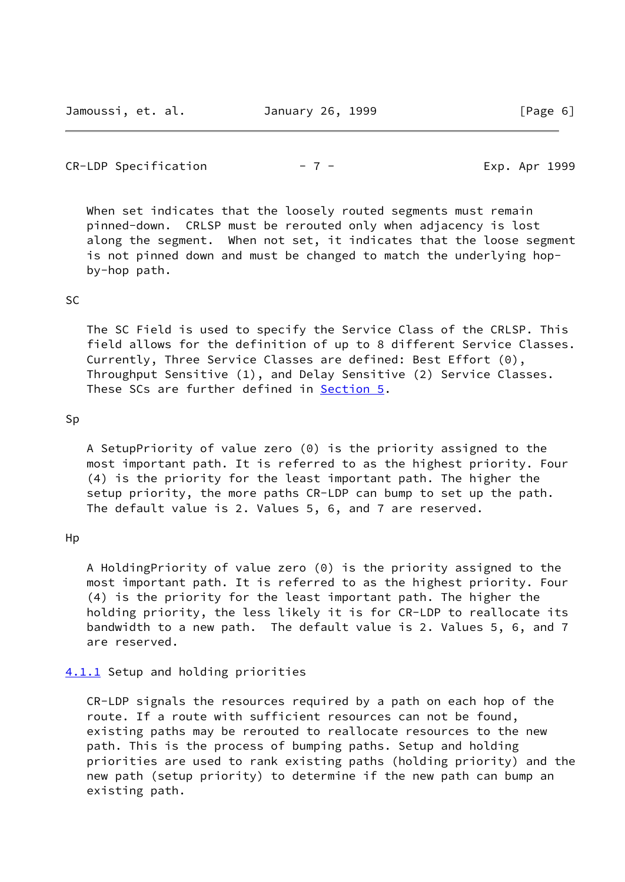# $CR-LDP$  Specification  $- 7 - 2$  Exp. Apr 1999

When set indicates that the loosely routed segments must remain pinned-down. CRLSP must be rerouted only when adjacency is lost along the segment. When not set, it indicates that the loose segment is not pinned down and must be changed to match the underlying hop by-hop path.

# SC

 The SC Field is used to specify the Service Class of the CRLSP. This field allows for the definition of up to 8 different Service Classes. Currently, Three Service Classes are defined: Best Effort (0), Throughput Sensitive (1), and Delay Sensitive (2) Service Classes. These SCs are further defined in Section 5.

## Sp

 A SetupPriority of value zero (0) is the priority assigned to the most important path. It is referred to as the highest priority. Four (4) is the priority for the least important path. The higher the setup priority, the more paths CR-LDP can bump to set up the path. The default value is 2. Values 5, 6, and 7 are reserved.

### Hp

 A HoldingPriority of value zero (0) is the priority assigned to the most important path. It is referred to as the highest priority. Four (4) is the priority for the least important path. The higher the holding priority, the less likely it is for CR-LDP to reallocate its bandwidth to a new path. The default value is 2. Values 5, 6, and 7 are reserved.

## <span id="page-7-0"></span>[4.1.1](#page-7-0) Setup and holding priorities

 CR-LDP signals the resources required by a path on each hop of the route. If a route with sufficient resources can not be found, existing paths may be rerouted to reallocate resources to the new path. This is the process of bumping paths. Setup and holding priorities are used to rank existing paths (holding priority) and the new path (setup priority) to determine if the new path can bump an existing path.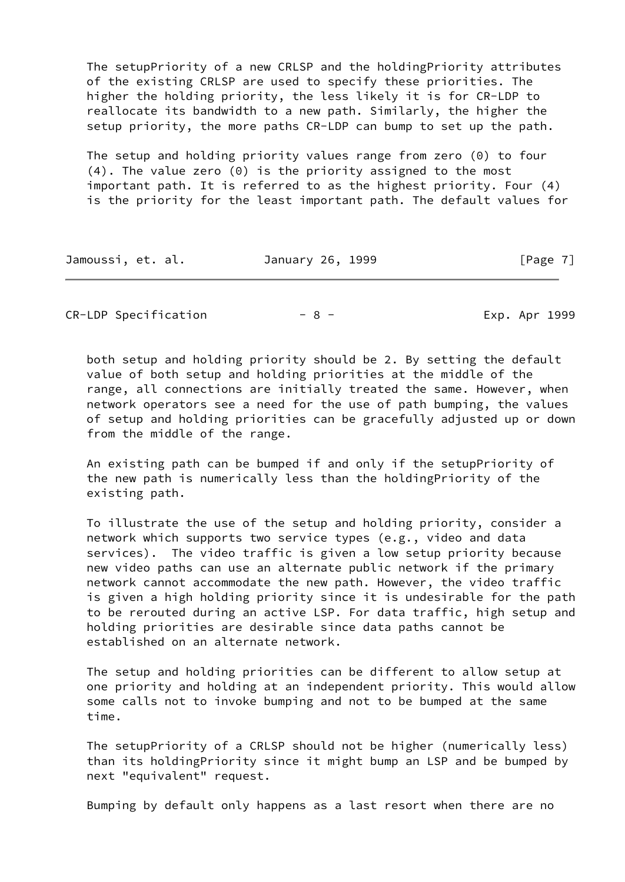The setupPriority of a new CRLSP and the holdingPriority attributes of the existing CRLSP are used to specify these priorities. The higher the holding priority, the less likely it is for CR-LDP to reallocate its bandwidth to a new path. Similarly, the higher the setup priority, the more paths CR-LDP can bump to set up the path.

 The setup and holding priority values range from zero (0) to four (4). The value zero (0) is the priority assigned to the most important path. It is referred to as the highest priority. Four (4) is the priority for the least important path. The default values for

| Jamoussi, et. al. | January 26, 1999 | [Page 7] |
|-------------------|------------------|----------|
|-------------------|------------------|----------|

CR-LDP Specification  $-8$  - The Exp. Apr 1999

 both setup and holding priority should be 2. By setting the default value of both setup and holding priorities at the middle of the range, all connections are initially treated the same. However, when network operators see a need for the use of path bumping, the values of setup and holding priorities can be gracefully adjusted up or down from the middle of the range.

 An existing path can be bumped if and only if the setupPriority of the new path is numerically less than the holdingPriority of the existing path.

 To illustrate the use of the setup and holding priority, consider a network which supports two service types (e.g., video and data services). The video traffic is given a low setup priority because new video paths can use an alternate public network if the primary network cannot accommodate the new path. However, the video traffic is given a high holding priority since it is undesirable for the path to be rerouted during an active LSP. For data traffic, high setup and holding priorities are desirable since data paths cannot be established on an alternate network.

 The setup and holding priorities can be different to allow setup at one priority and holding at an independent priority. This would allow some calls not to invoke bumping and not to be bumped at the same time.

 The setupPriority of a CRLSP should not be higher (numerically less) than its holdingPriority since it might bump an LSP and be bumped by next "equivalent" request.

Bumping by default only happens as a last resort when there are no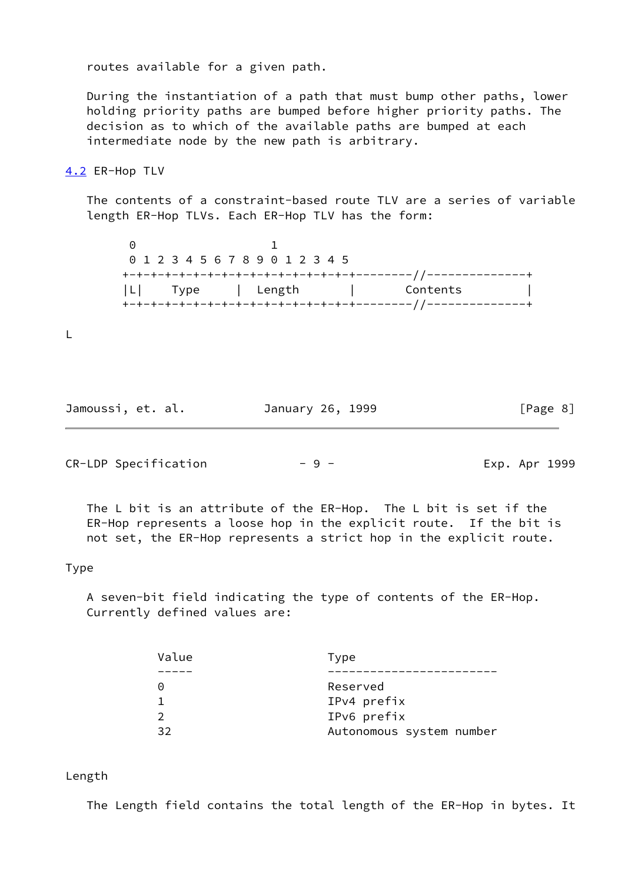routes available for a given path.

 During the instantiation of a path that must bump other paths, lower holding priority paths are bumped before higher priority paths. The decision as to which of the available paths are bumped at each intermediate node by the new path is arbitrary.

#### <span id="page-9-0"></span>[4.2](#page-9-0) ER-Hop TLV

 The contents of a constraint-based route TLV are a series of variable length ER-Hop TLVs. Each ER-Hop TLV has the form:

 0 1 0 1 2 3 4 5 6 7 8 9 0 1 2 3 4 5 +-+-+-+-+-+-+-+-+-+-+-+-+-+-+-+-+--------//--------------+ |L| Type | Length | Contents | +-+-+-+-+-+-+-+-+-+-+-+-+-+-+-+-+--------//--------------+

L

Jamoussi, et. al. January 26, 1999 [Page 8]

 $CR-LDP$  Specification  $-9$  -  $-$  Exp. Apr 1999

 The L bit is an attribute of the ER-Hop. The L bit is set if the ER-Hop represents a loose hop in the explicit route. If the bit is not set, the ER-Hop represents a strict hop in the explicit route.

## Type

 A seven-bit field indicating the type of contents of the ER-Hop. Currently defined values are:

| Value | Type                     |
|-------|--------------------------|
|       |                          |
|       | Reserved                 |
|       | IPv4 prefix              |
|       | IPv6 prefix              |
| マフ    | Autonomous system number |

#### Length

The Length field contains the total length of the ER-Hop in bytes. It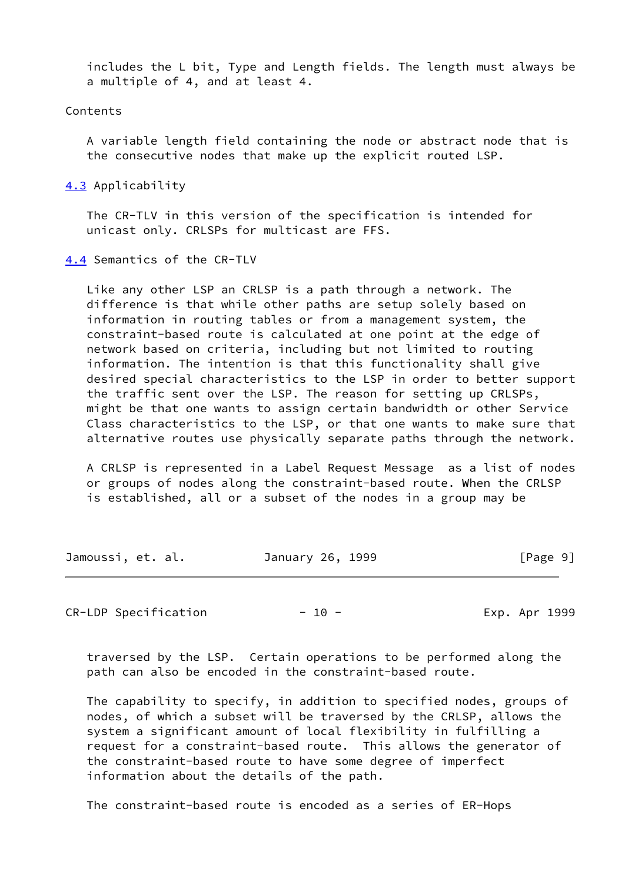includes the L bit, Type and Length fields. The length must always be a multiple of 4, and at least 4.

## Contents

 A variable length field containing the node or abstract node that is the consecutive nodes that make up the explicit routed LSP.

<span id="page-10-0"></span>[4.3](#page-10-0) Applicability

 The CR-TLV in this version of the specification is intended for unicast only. CRLSPs for multicast are FFS.

<span id="page-10-1"></span>[4.4](#page-10-1) Semantics of the CR-TLV

 Like any other LSP an CRLSP is a path through a network. The difference is that while other paths are setup solely based on information in routing tables or from a management system, the constraint-based route is calculated at one point at the edge of network based on criteria, including but not limited to routing information. The intention is that this functionality shall give desired special characteristics to the LSP in order to better support the traffic sent over the LSP. The reason for setting up CRLSPs, might be that one wants to assign certain bandwidth or other Service Class characteristics to the LSP, or that one wants to make sure that alternative routes use physically separate paths through the network.

 A CRLSP is represented in a Label Request Message as a list of nodes or groups of nodes along the constraint-based route. When the CRLSP is established, all or a subset of the nodes in a group may be

| Jamoussi, et. al. | January 26, 1999 | [Page 9] |
|-------------------|------------------|----------|
|-------------------|------------------|----------|

CR-LDP Specification  $-10$  - The Exp. Apr 1999

 traversed by the LSP. Certain operations to be performed along the path can also be encoded in the constraint-based route.

 The capability to specify, in addition to specified nodes, groups of nodes, of which a subset will be traversed by the CRLSP, allows the system a significant amount of local flexibility in fulfilling a request for a constraint-based route. This allows the generator of the constraint-based route to have some degree of imperfect information about the details of the path.

The constraint-based route is encoded as a series of ER-Hops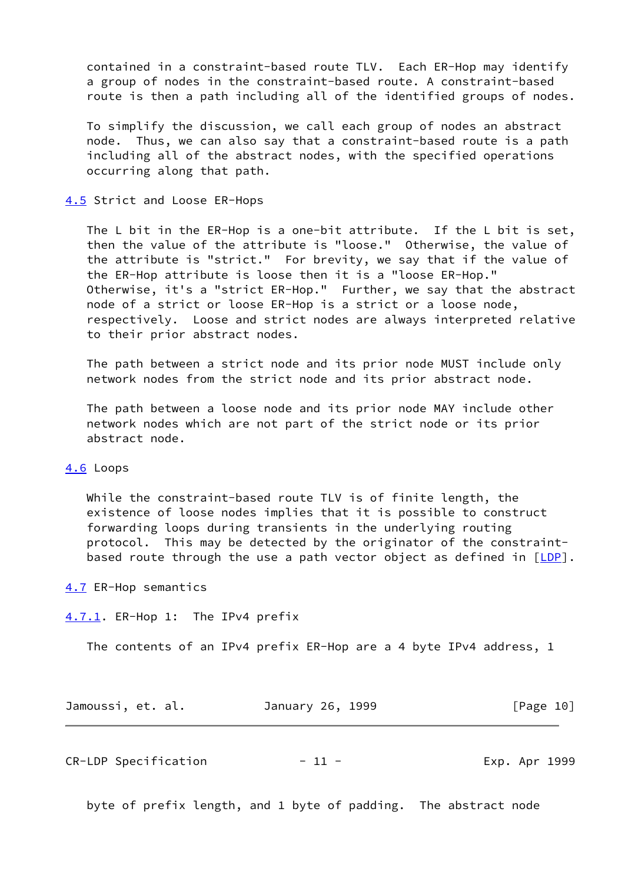contained in a constraint-based route TLV. Each ER-Hop may identify a group of nodes in the constraint-based route. A constraint-based route is then a path including all of the identified groups of nodes.

 To simplify the discussion, we call each group of nodes an abstract node. Thus, we can also say that a constraint-based route is a path including all of the abstract nodes, with the specified operations occurring along that path.

## <span id="page-11-0"></span>[4.5](#page-11-0) Strict and Loose ER-Hops

 The L bit in the ER-Hop is a one-bit attribute. If the L bit is set, then the value of the attribute is "loose." Otherwise, the value of the attribute is "strict." For brevity, we say that if the value of the ER-Hop attribute is loose then it is a "loose ER-Hop." Otherwise, it's a "strict ER-Hop." Further, we say that the abstract node of a strict or loose ER-Hop is a strict or a loose node, respectively. Loose and strict nodes are always interpreted relative to their prior abstract nodes.

 The path between a strict node and its prior node MUST include only network nodes from the strict node and its prior abstract node.

 The path between a loose node and its prior node MAY include other network nodes which are not part of the strict node or its prior abstract node.

## <span id="page-11-1"></span>[4.6](#page-11-1) Loops

 While the constraint-based route TLV is of finite length, the existence of loose nodes implies that it is possible to construct forwarding loops during transients in the underlying routing protocol. This may be detected by the originator of the constraint based route through the use a path vector object as defined in  $[LDP]$  $[LDP]$ .

#### <span id="page-11-2"></span>[4.7](#page-11-2) ER-Hop semantics

<span id="page-11-3"></span>[4.7.1](#page-11-3). ER-Hop 1: The IPv4 prefix

The contents of an IPv4 prefix ER-Hop are a 4 byte IPv4 address, 1

| Jamoussi, et. al. |  | January 26, 1999 |  | [Page 10] |  |
|-------------------|--|------------------|--|-----------|--|
|-------------------|--|------------------|--|-----------|--|

CR-LDP Specification - 11 - Exp. Apr 1999

byte of prefix length, and 1 byte of padding. The abstract node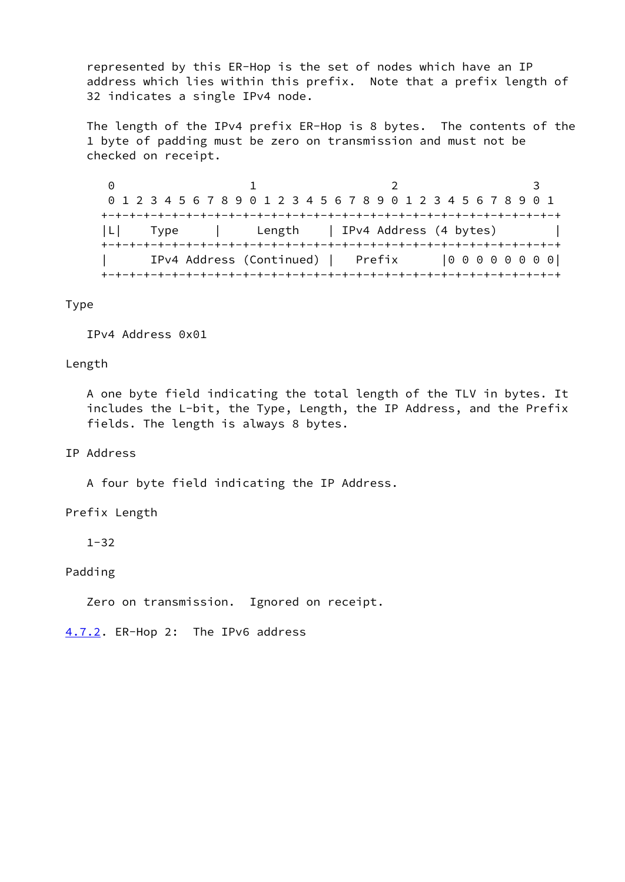represented by this ER-Hop is the set of nodes which have an IP address which lies within this prefix. Note that a prefix length of 32 indicates a single IPv4 node.

 The length of the IPv4 prefix ER-Hop is 8 bytes. The contents of the 1 byte of padding must be zero on transmission and must not be checked on receipt.

0 1 2 3 0 1 2 3 4 5 6 7 8 9 0 1 2 3 4 5 6 7 8 9 0 1 2 3 4 5 6 7 8 9 0 1 +-+-+-+-+-+-+-+-+-+-+-+-+-+-+-+-+-+-+-+-+-+-+-+-+-+-+-+-+-+-+-+-+ |L| Type | Length | IPv4 Address (4 bytes) | +-+-+-+-+-+-+-+-+-+-+-+-+-+-+-+-+-+-+-+-+-+-+-+-+-+-+-+-+-+-+-+-+ | IPv4 Address (Continued) | Prefix |0 0 0 0 0 0 0 0| +-+-+-+-+-+-+-+-+-+-+-+-+-+-+-+-+-+-+-+-+-+-+-+-+-+-+-+-+-+-+-+-+

Type

IPv4 Address 0x01

## Length

 A one byte field indicating the total length of the TLV in bytes. It includes the L-bit, the Type, Length, the IP Address, and the Prefix fields. The length is always 8 bytes.

## IP Address

A four byte field indicating the IP Address.

# Prefix Length

1-32

# Padding

Zero on transmission. Ignored on receipt.

<span id="page-12-0"></span>[4.7.2](#page-12-0). ER-Hop 2: The IPv6 address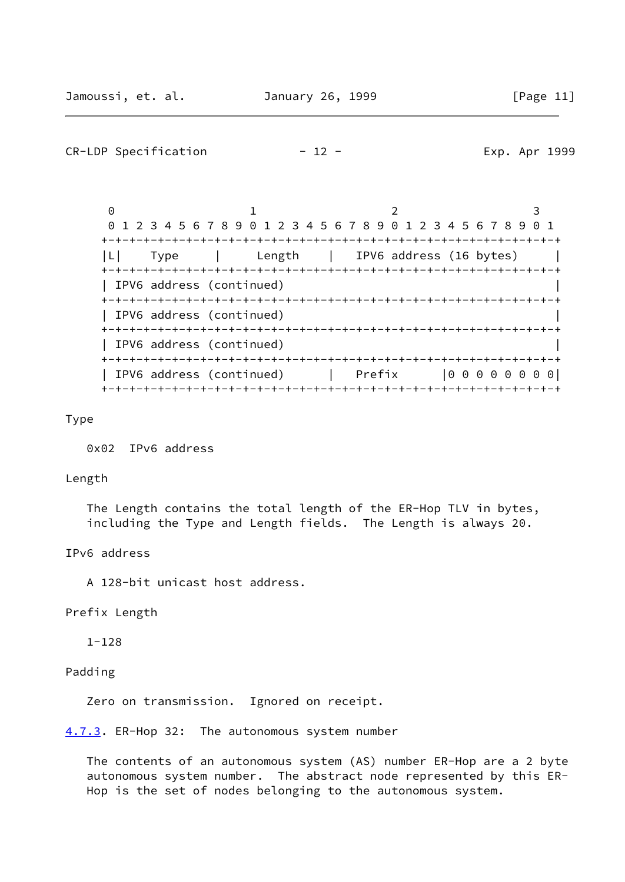## CR-LDP Specification  $-12$  - The Exp. Apr 1999

0 1 2 3 0 1 2 3 4 5 6 7 8 9 0 1 2 3 4 5 6 7 8 9 0 1 2 3 4 5 6 7 8 9 0 1 +-+-+-+-+-+-+-+-+-+-+-+-+-+-+-+-+-+-+-+-+-+-+-+-+-+-+-+-+-+-+-+-+ |L| Type | Length | IPV6 address (16 bytes) | +-+-+-+-+-+-+-+-+-+-+-+-+-+-+-+-+-+-+-+-+-+-+-+-+-+-+-+-+-+-+-+-+ | IPV6 address (continued) | +-+-+-+-+-+-+-+-+-+-+-+-+-+-+-+-+-+-+-+-+-+-+-+-+-+-+-+-+-+-+-+-+ | IPV6 address (continued) | +-+-+-+-+-+-+-+-+-+-+-+-+-+-+-+-+-+-+-+-+-+-+-+-+-+-+-+-+-+-+-+-+ | IPV6 address (continued) | +-+-+-+-+-+-+-+-+-+-+-+-+-+-+-+-+-+-+-+-+-+-+-+-+-+-+-+-+-+-+-+-+ | IPV6 address (continued) | Prefix |0 0 0 0 0 0 0 0| +-+-+-+-+-+-+-+-+-+-+-+-+-+-+-+-+-+-+-+-+-+-+-+-+-+-+-+-+-+-+-+-+

Type

0x02 IPv6 address

#### Length

 The Length contains the total length of the ER-Hop TLV in bytes, including the Type and Length fields. The Length is always 20.

IPv6 address

A 128-bit unicast host address.

Prefix Length

1-128

## Padding

Zero on transmission. Ignored on receipt.

<span id="page-13-0"></span>[4.7.3](#page-13-0). ER-Hop 32: The autonomous system number

 The contents of an autonomous system (AS) number ER-Hop are a 2 byte autonomous system number. The abstract node represented by this ER- Hop is the set of nodes belonging to the autonomous system.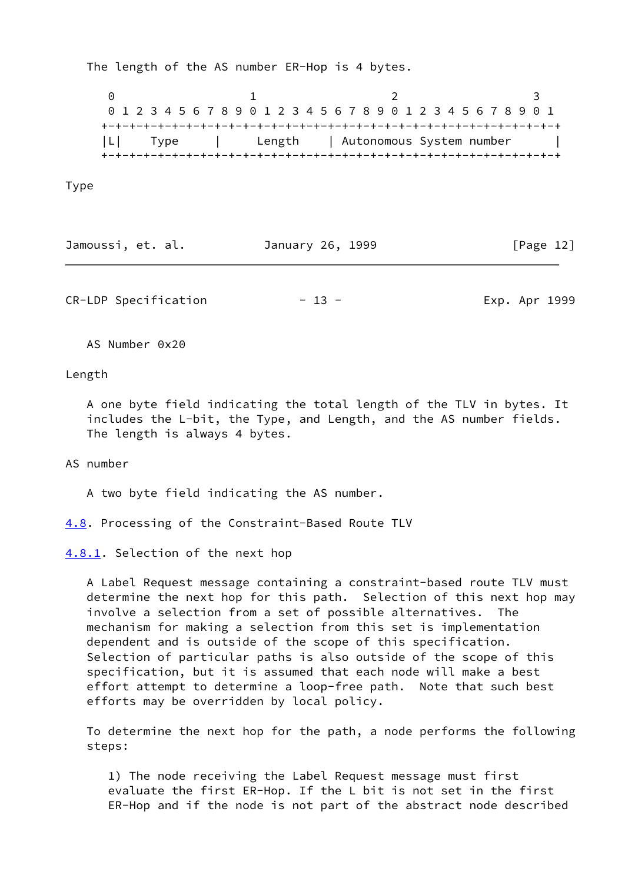The length of the AS number ER-Hop is 4 bytes.

0 1 2 3 0 1 2 3 4 5 6 7 8 9 0 1 2 3 4 5 6 7 8 9 0 1 2 3 4 5 6 7 8 9 0 1 +-+-+-+-+-+-+-+-+-+-+-+-+-+-+-+-+-+-+-+-+-+-+-+-+-+-+-+-+-+-+-+-+ |L| Type | Length | Autonomous System number | +-+-+-+-+-+-+-+-+-+-+-+-+-+-+-+-+-+-+-+-+-+-+-+-+-+-+-+-+-+-+-+-+

Type

| Jamoussi, et. al. | January 26, 1999 | [Page 12] |
|-------------------|------------------|-----------|
|-------------------|------------------|-----------|

CR-LDP Specification  $- 13 -$  Exp. Apr 1999

AS Number 0x20

Length

 A one byte field indicating the total length of the TLV in bytes. It includes the L-bit, the Type, and Length, and the AS number fields. The length is always 4 bytes.

AS number

A two byte field indicating the AS number.

<span id="page-14-0"></span>[4.8](#page-14-0). Processing of the Constraint-Based Route TLV

<span id="page-14-1"></span>[4.8.1](#page-14-1). Selection of the next hop

 A Label Request message containing a constraint-based route TLV must determine the next hop for this path. Selection of this next hop may involve a selection from a set of possible alternatives. The mechanism for making a selection from this set is implementation dependent and is outside of the scope of this specification. Selection of particular paths is also outside of the scope of this specification, but it is assumed that each node will make a best effort attempt to determine a loop-free path. Note that such best efforts may be overridden by local policy.

 To determine the next hop for the path, a node performs the following steps:

 1) The node receiving the Label Request message must first evaluate the first ER-Hop. If the L bit is not set in the first ER-Hop and if the node is not part of the abstract node described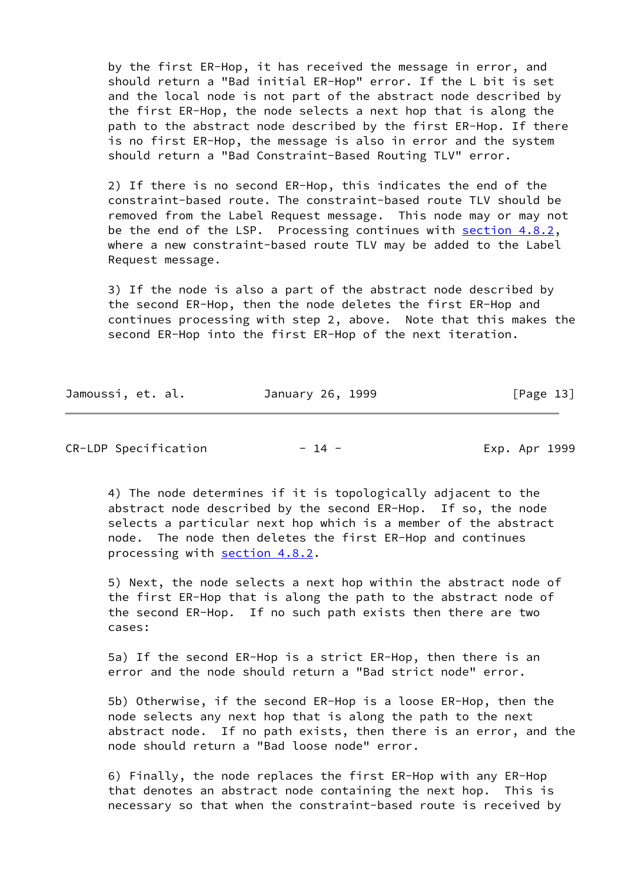by the first ER-Hop, it has received the message in error, and should return a "Bad initial ER-Hop" error. If the L bit is set and the local node is not part of the abstract node described by the first ER-Hop, the node selects a next hop that is along the path to the abstract node described by the first ER-Hop. If there is no first ER-Hop, the message is also in error and the system should return a "Bad Constraint-Based Routing TLV" error.

 2) If there is no second ER-Hop, this indicates the end of the constraint-based route. The constraint-based route TLV should be removed from the Label Request message. This node may or may not be the end of the LSP. Processing continues with section  $4.8.2$ , where a new constraint-based route TLV may be added to the Label Request message.

 3) If the node is also a part of the abstract node described by the second ER-Hop, then the node deletes the first ER-Hop and continues processing with step 2, above. Note that this makes the second ER-Hop into the first ER-Hop of the next iteration.

| Jamoussi, et. al. | January 26, 1999 | [Page 13] |
|-------------------|------------------|-----------|
|-------------------|------------------|-----------|

CR-LDP Specification - 14 - Exp. Apr 1999

 4) The node determines if it is topologically adjacent to the abstract node described by the second ER-Hop. If so, the node selects a particular next hop which is a member of the abstract node. The node then deletes the first ER-Hop and continues processing with [section 4.8.2.](#page-16-1)

 5) Next, the node selects a next hop within the abstract node of the first ER-Hop that is along the path to the abstract node of the second ER-Hop. If no such path exists then there are two cases:

 5a) If the second ER-Hop is a strict ER-Hop, then there is an error and the node should return a "Bad strict node" error.

 5b) Otherwise, if the second ER-Hop is a loose ER-Hop, then the node selects any next hop that is along the path to the next abstract node. If no path exists, then there is an error, and the node should return a "Bad loose node" error.

 6) Finally, the node replaces the first ER-Hop with any ER-Hop that denotes an abstract node containing the next hop. This is necessary so that when the constraint-based route is received by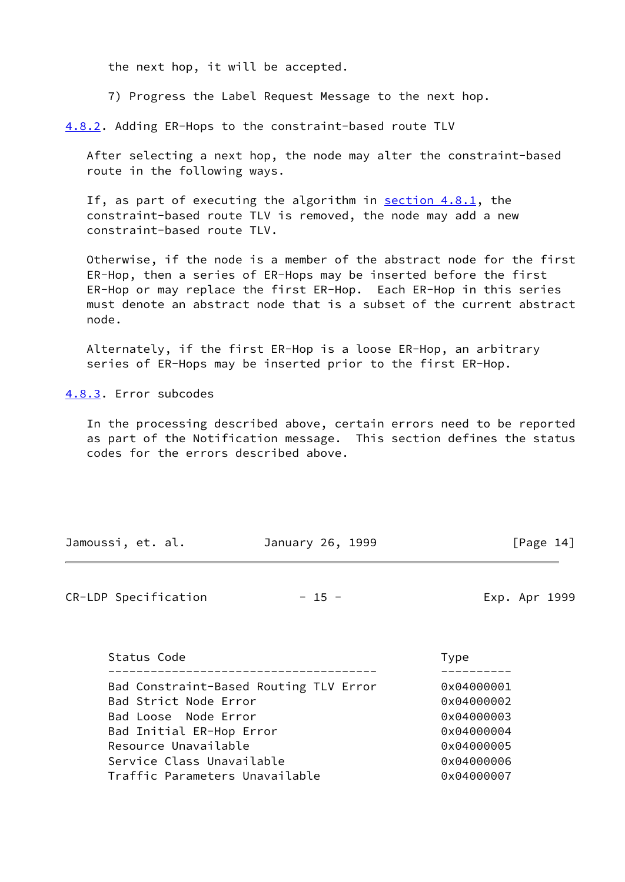the next hop, it will be accepted.

7) Progress the Label Request Message to the next hop.

<span id="page-16-1"></span>[4.8.2](#page-16-1). Adding ER-Hops to the constraint-based route TLV

 After selecting a next hop, the node may alter the constraint-based route in the following ways.

 If, as part of executing the algorithm in [section 4.8.1,](#page-14-1) the constraint-based route TLV is removed, the node may add a new constraint-based route TLV.

 Otherwise, if the node is a member of the abstract node for the first ER-Hop, then a series of ER-Hops may be inserted before the first ER-Hop or may replace the first ER-Hop. Each ER-Hop in this series must denote an abstract node that is a subset of the current abstract node.

 Alternately, if the first ER-Hop is a loose ER-Hop, an arbitrary series of ER-Hops may be inserted prior to the first ER-Hop.

<span id="page-16-0"></span>[4.8.3](#page-16-0). Error subcodes

 In the processing described above, certain errors need to be reported as part of the Notification message. This section defines the status codes for the errors described above.

| Jamoussi, et. al.                                                                                                                                                                                          | January 26, 1999 | [Page $14$ ]                                                                                   |
|------------------------------------------------------------------------------------------------------------------------------------------------------------------------------------------------------------|------------------|------------------------------------------------------------------------------------------------|
| CR-LDP Specification                                                                                                                                                                                       | $-15 -$          | Exp. Apr 1999                                                                                  |
| Status Code                                                                                                                                                                                                |                  | <b>Type</b>                                                                                    |
| Bad Constraint-Based Routing TLV Error<br>Bad Strict Node Error<br>Bad Loose Node Error<br>Bad Initial ER-Hop Error<br>Resource Unavailable<br>Service Class Unavailable<br>Traffic Parameters Unavailable |                  | 0x04000001<br>0x04000002<br>0x04000003<br>0x04000004<br>0x04000005<br>0x04000006<br>0x04000007 |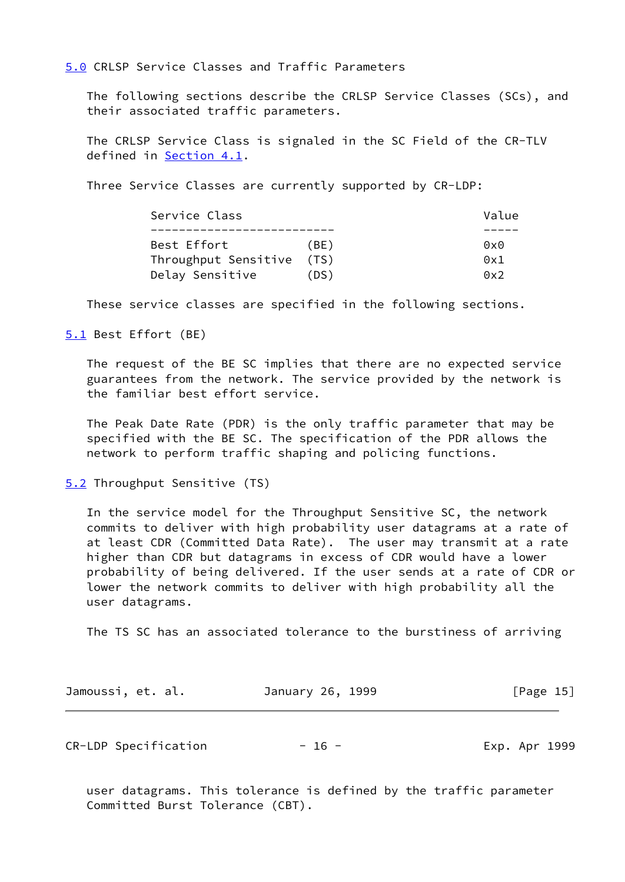<span id="page-17-0"></span>[5.0](#page-17-0) CRLSP Service Classes and Traffic Parameters

 The following sections describe the CRLSP Service Classes (SCs), and their associated traffic parameters.

 The CRLSP Service Class is signaled in the SC Field of the CR-TLV defined in [Section 4.1](#page-5-2).

Three Service Classes are currently supported by CR-LDP:

| Service Class             |      | Value        |  |
|---------------------------|------|--------------|--|
|                           |      |              |  |
| Best Effort               | (BE) | 0x0          |  |
| Throughput Sensitive (TS) |      | $0 \times 1$ |  |
| Delay Sensitive           | (DS) | 0x2          |  |

These service classes are specified in the following sections.

<span id="page-17-1"></span>[5.1](#page-17-1) Best Effort (BE)

 The request of the BE SC implies that there are no expected service guarantees from the network. The service provided by the network is the familiar best effort service.

 The Peak Date Rate (PDR) is the only traffic parameter that may be specified with the BE SC. The specification of the PDR allows the network to perform traffic shaping and policing functions.

<span id="page-17-2"></span>[5.2](#page-17-2) Throughput Sensitive (TS)

 In the service model for the Throughput Sensitive SC, the network commits to deliver with high probability user datagrams at a rate of at least CDR (Committed Data Rate). The user may transmit at a rate higher than CDR but datagrams in excess of CDR would have a lower probability of being delivered. If the user sends at a rate of CDR or lower the network commits to deliver with high probability all the user datagrams.

The TS SC has an associated tolerance to the burstiness of arriving

| Jamoussi, et. al. | January 26, 1999 | [Page $15$ ] |
|-------------------|------------------|--------------|
|-------------------|------------------|--------------|

CR-LDP Specification  $- 16 -$  - Exp. Apr 1999

 user datagrams. This tolerance is defined by the traffic parameter Committed Burst Tolerance (CBT).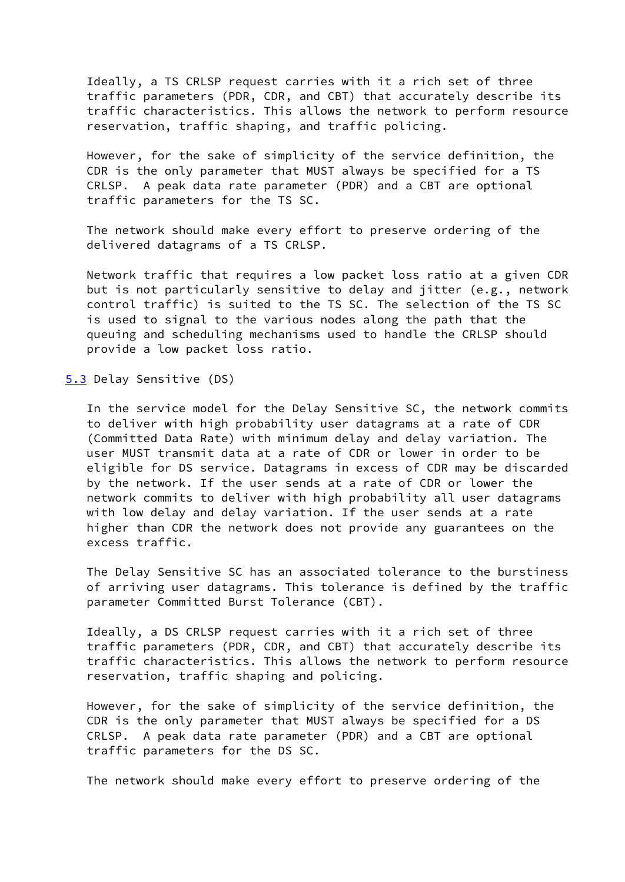Ideally, a TS CRLSP request carries with it a rich set of three traffic parameters (PDR, CDR, and CBT) that accurately describe its traffic characteristics. This allows the network to perform resource reservation, traffic shaping, and traffic policing.

 However, for the sake of simplicity of the service definition, the CDR is the only parameter that MUST always be specified for a TS CRLSP. A peak data rate parameter (PDR) and a CBT are optional traffic parameters for the TS SC.

 The network should make every effort to preserve ordering of the delivered datagrams of a TS CRLSP.

 Network traffic that requires a low packet loss ratio at a given CDR but is not particularly sensitive to delay and jitter (e.g., network control traffic) is suited to the TS SC. The selection of the TS SC is used to signal to the various nodes along the path that the queuing and scheduling mechanisms used to handle the CRLSP should provide a low packet loss ratio.

<span id="page-18-0"></span>[5.3](#page-18-0) Delay Sensitive (DS)

 In the service model for the Delay Sensitive SC, the network commits to deliver with high probability user datagrams at a rate of CDR (Committed Data Rate) with minimum delay and delay variation. The user MUST transmit data at a rate of CDR or lower in order to be eligible for DS service. Datagrams in excess of CDR may be discarded by the network. If the user sends at a rate of CDR or lower the network commits to deliver with high probability all user datagrams with low delay and delay variation. If the user sends at a rate higher than CDR the network does not provide any guarantees on the excess traffic.

 The Delay Sensitive SC has an associated tolerance to the burstiness of arriving user datagrams. This tolerance is defined by the traffic parameter Committed Burst Tolerance (CBT).

 Ideally, a DS CRLSP request carries with it a rich set of three traffic parameters (PDR, CDR, and CBT) that accurately describe its traffic characteristics. This allows the network to perform resource reservation, traffic shaping and policing.

 However, for the sake of simplicity of the service definition, the CDR is the only parameter that MUST always be specified for a DS CRLSP. A peak data rate parameter (PDR) and a CBT are optional traffic parameters for the DS SC.

The network should make every effort to preserve ordering of the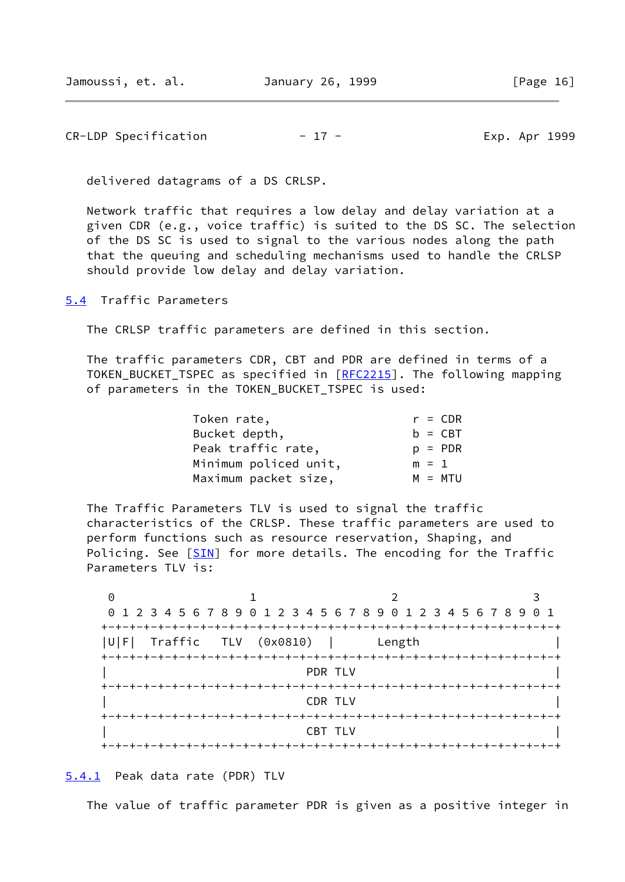$CR-LDP$  Specification  $-17$  - Exp. Apr 1999

delivered datagrams of a DS CRLSP.

 Network traffic that requires a low delay and delay variation at a given CDR (e.g., voice traffic) is suited to the DS SC. The selection of the DS SC is used to signal to the various nodes along the path that the queuing and scheduling mechanisms used to handle the CRLSP should provide low delay and delay variation.

<span id="page-19-0"></span>[5.4](#page-19-0) Traffic Parameters

The CRLSP traffic parameters are defined in this section.

 The traffic parameters CDR, CBT and PDR are defined in terms of a TOKEN\_BUCKET\_TSPEC as specified in [[RFC2215\]](https://datatracker.ietf.org/doc/pdf/rfc2215). The following mapping of parameters in the TOKEN\_BUCKET\_TSPEC is used:

| Token rate,           | $r = CDR$ |
|-----------------------|-----------|
| Bucket depth,         | $b = CBT$ |
| Peak traffic rate,    | $p = PDR$ |
| Minimum policed unit, | $m = 1$   |
| Maximum packet size,  | $M = MTU$ |

 The Traffic Parameters TLV is used to signal the traffic characteristics of the CRLSP. These traffic parameters are used to perform functions such as resource reservation, Shaping, and Policing. See [[SIN](#page-23-7)] for more details. The encoding for the Traffic Parameters TLV is:

 $0$  1 2 3 0 1 2 3 4 5 6 7 8 9 0 1 2 3 4 5 6 7 8 9 0 1 2 3 4 5 6 7 8 9 0 1 +-+-+-+-+-+-+-+-+-+-+-+-+-+-+-+-+-+-+-+-+-+-+-+-+-+-+-+-+-+-+-+-+ |U|F| Traffic TLV (0x0810) | Length | +-+-+-+-+-+-+-+-+-+-+-+-+-+-+-+-+-+-+-+-+-+-+-+-+-+-+-+-+-+-+-+-+ | PDR TLV | +-+-+-+-+-+-+-+-+-+-+-+-+-+-+-+-+-+-+-+-+-+-+-+-+-+-+-+-+-+-+-+-+ | CDR TLV | +-+-+-+-+-+-+-+-+-+-+-+-+-+-+-+-+-+-+-+-+-+-+-+-+-+-+-+-+-+-+-+-+  $\begin{array}{ccc} \hline \end{array}$   $\begin{array}{ccc} \hline \end{array}$   $\begin{array}{ccc} \hline \end{array}$   $\begin{array}{ccc} \hline \end{array}$ +-+-+-+-+-+-+-+-+-+-+-+-+-+-+-+-+-+-+-+-+-+-+-+-+-+-+-+-+-+-+-+-+

<span id="page-19-1"></span>[5.4.1](#page-19-1) Peak data rate (PDR) TLV

The value of traffic parameter PDR is given as a positive integer in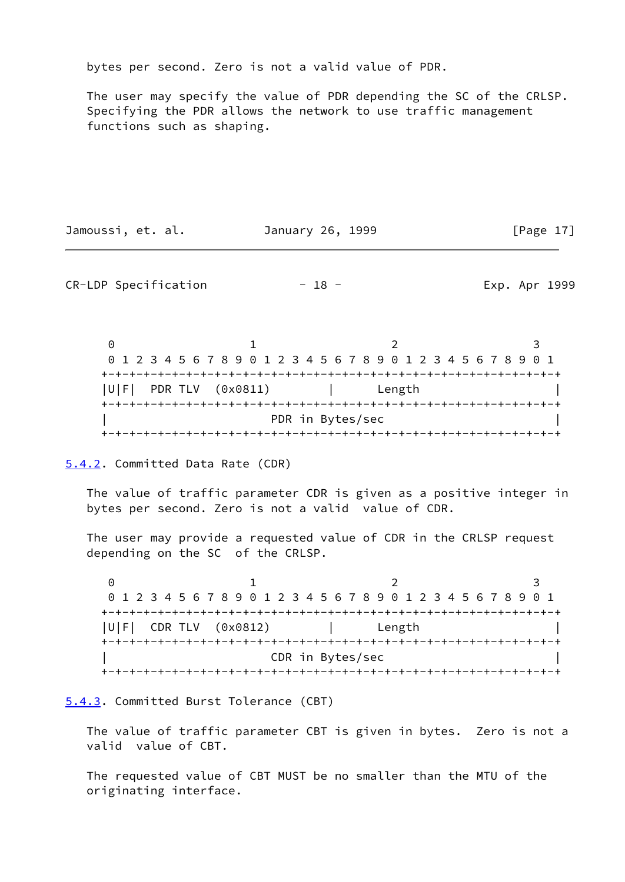bytes per second. Zero is not a valid value of PDR.

 The user may specify the value of PDR depending the SC of the CRLSP. Specifying the PDR allows the network to use traffic management functions such as shaping.

Jamoussi, et. al. January 26, 1999 [Page 17]

CR-LDP Specification  $- 18 -$  - Exp. Apr 1999

0 1 2 3 0 1 2 3 4 5 6 7 8 9 0 1 2 3 4 5 6 7 8 9 0 1 2 3 4 5 6 7 8 9 0 1 +-+-+-+-+-+-+-+-+-+-+-+-+-+-+-+-+-+-+-+-+-+-+-+-+-+-+-+-+-+-+-+-+ |U|F| PDR TLV (0x0811) | Length | +-+-+-+-+-+-+-+-+-+-+-+-+-+-+-+-+-+-+-+-+-+-+-+-+-+-+-+-+-+-+-+-+ PDR in Bytes/sec +-+-+-+-+-+-+-+-+-+-+-+-+-+-+-+-+-+-+-+-+-+-+-+-+-+-+-+-+-+-+-+-+

<span id="page-20-0"></span>[5.4.2](#page-20-0). Committed Data Rate (CDR)

 The value of traffic parameter CDR is given as a positive integer in bytes per second. Zero is not a valid value of CDR.

 The user may provide a requested value of CDR in the CRLSP request depending on the SC of the CRLSP.

0 1 2 3 0 1 2 3 4 5 6 7 8 9 0 1 2 3 4 5 6 7 8 9 0 1 2 3 4 5 6 7 8 9 0 1 +-+-+-+-+-+-+-+-+-+-+-+-+-+-+-+-+-+-+-+-+-+-+-+-+-+-+-+-+-+-+-+-+ |U|F| CDR TLV (0x0812) | Length | +-+-+-+-+-+-+-+-+-+-+-+-+-+-+-+-+-+-+-+-+-+-+-+-+-+-+-+-+-+-+-+-+ | CDR in Bytes/sec | +-+-+-+-+-+-+-+-+-+-+-+-+-+-+-+-+-+-+-+-+-+-+-+-+-+-+-+-+-+-+-+-+

<span id="page-20-1"></span>[5.4.3](#page-20-1). Committed Burst Tolerance (CBT)

 The value of traffic parameter CBT is given in bytes. Zero is not a valid value of CBT.

 The requested value of CBT MUST be no smaller than the MTU of the originating interface.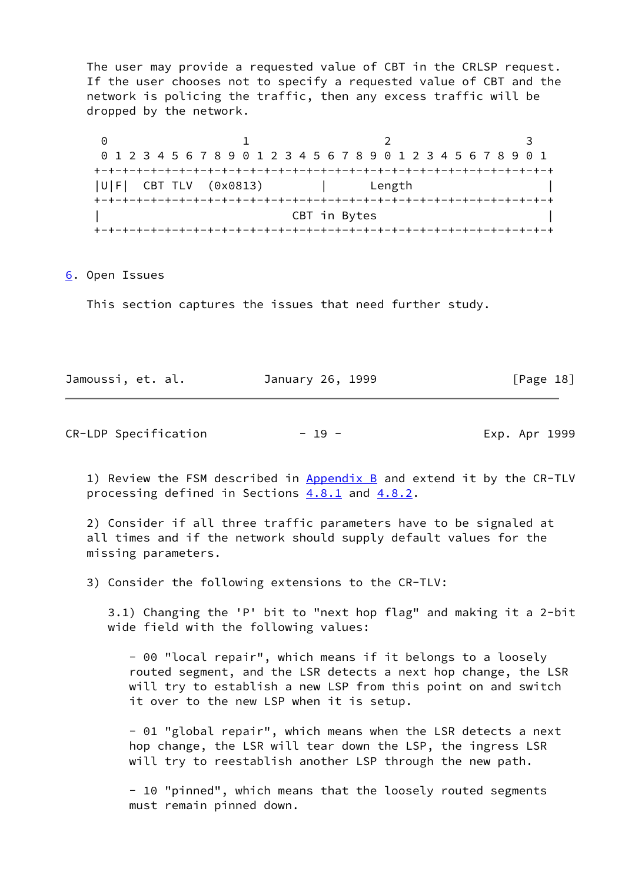The user may provide a requested value of CBT in the CRLSP request. If the user chooses not to specify a requested value of CBT and the network is policing the traffic, then any excess traffic will be dropped by the network.

0 1 2 3 0 1 2 3 4 5 6 7 8 9 0 1 2 3 4 5 6 7 8 9 0 1 2 3 4 5 6 7 8 9 0 1 +-+-+-+-+-+-+-+-+-+-+-+-+-+-+-+-+-+-+-+-+-+-+-+-+-+-+-+-+-+-+-+-+ |U|F| CBT TLV (0x0813) | Length | +-+-+-+-+-+-+-+-+-+-+-+-+-+-+-+-+-+-+-+-+-+-+-+-+-+-+-+-+-+-+-+-+ CBT in Bytes +-+-+-+-+-+-+-+-+-+-+-+-+-+-+-+-+-+-+-+-+-+-+-+-+-+-+-+-+-+-+-+-+

<span id="page-21-0"></span>[6](#page-21-0). Open Issues

This section captures the issues that need further study.

| Jamoussi, et. al. |  | January 26, 1999 |  | [Page 18] |  |
|-------------------|--|------------------|--|-----------|--|
|                   |  |                  |  |           |  |

CR-LDP Specification - 19 - Exp. Apr 1999

1) Review the FSM described in [Appendix B](#page-31-0) and extend it by the CR-TLV processing defined in Sections  $4.8.1$  and  $4.8.2$ .

 2) Consider if all three traffic parameters have to be signaled at all times and if the network should supply default values for the missing parameters.

3) Consider the following extensions to the CR-TLV:

 3.1) Changing the 'P' bit to "next hop flag" and making it a 2-bit wide field with the following values:

 - 00 "local repair", which means if it belongs to a loosely routed segment, and the LSR detects a next hop change, the LSR will try to establish a new LSP from this point on and switch it over to the new LSP when it is setup.

 - 01 "global repair", which means when the LSR detects a next hop change, the LSR will tear down the LSP, the ingress LSR will try to reestablish another LSP through the new path.

 - 10 "pinned", which means that the loosely routed segments must remain pinned down.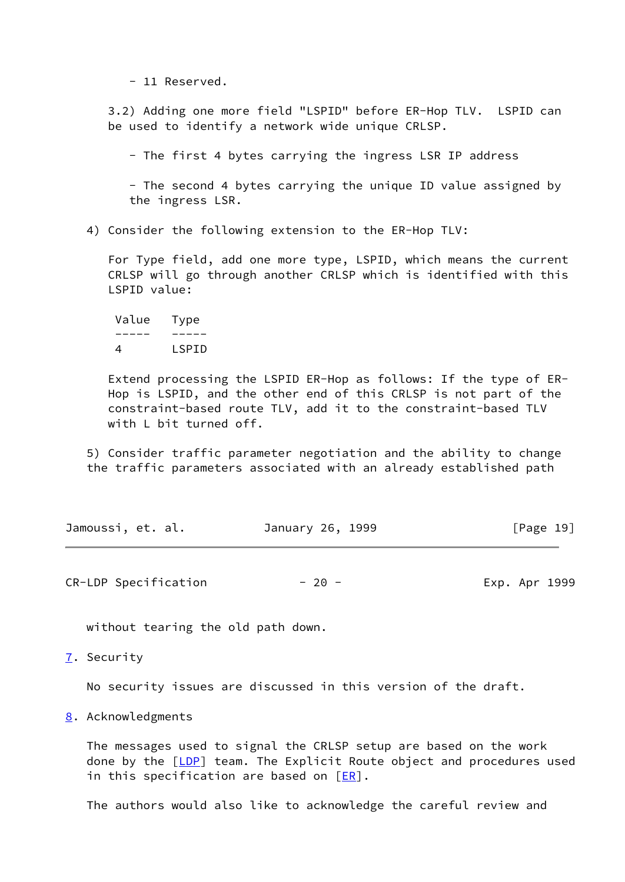- 11 Reserved.

 3.2) Adding one more field "LSPID" before ER-Hop TLV. LSPID can be used to identify a network wide unique CRLSP.

- The first 4 bytes carrying the ingress LSR IP address

 - The second 4 bytes carrying the unique ID value assigned by the ingress LSR.

4) Consider the following extension to the ER-Hop TLV:

 For Type field, add one more type, LSPID, which means the current CRLSP will go through another CRLSP which is identified with this LSPID value:

 Value Type ----- ----- 4 LSPID

 Extend processing the LSPID ER-Hop as follows: If the type of ER- Hop is LSPID, and the other end of this CRLSP is not part of the constraint-based route TLV, add it to the constraint-based TLV with L bit turned off.

 5) Consider traffic parameter negotiation and the ability to change the traffic parameters associated with an already established path

| Jamoussi, et. al. | January 26, 1999 | [Page 19] |
|-------------------|------------------|-----------|
|                   |                  |           |

CR-LDP Specification  $-20 -$ 

without tearing the old path down.

<span id="page-22-0"></span>[7](#page-22-0). Security

No security issues are discussed in this version of the draft.

<span id="page-22-1"></span>[8](#page-22-1). Acknowledgments

 The messages used to signal the CRLSP setup are based on the work done by the [\[LDP](#page-23-0)] team. The Explicit Route object and procedures used in this specification are based on  $[ER]$  $[ER]$ .

The authors would also like to acknowledge the careful review and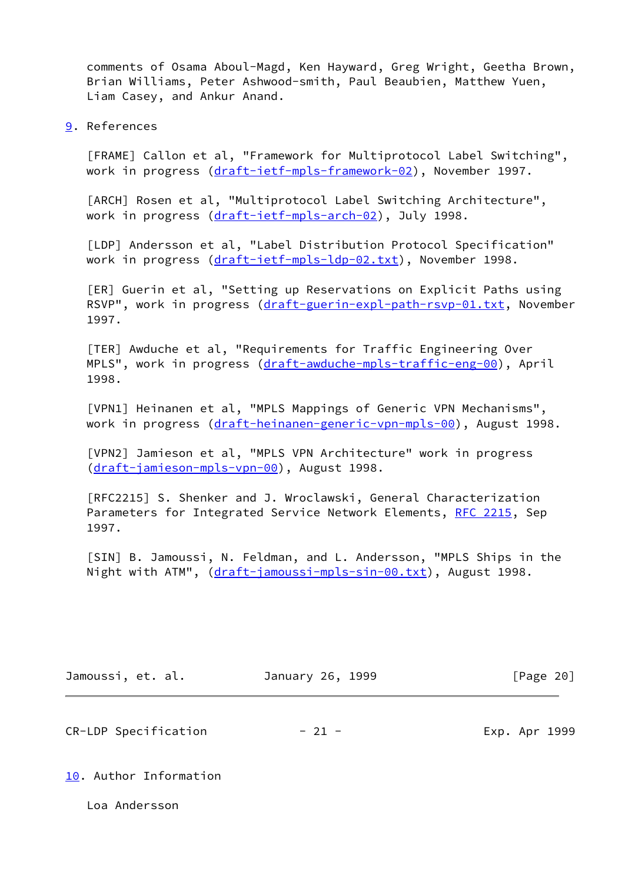comments of Osama Aboul-Magd, Ken Hayward, Greg Wright, Geetha Brown, Brian Williams, Peter Ashwood-smith, Paul Beaubien, Matthew Yuen, Liam Casey, and Ankur Anand.

<span id="page-23-8"></span>[9](#page-23-8). References

<span id="page-23-1"></span> [FRAME] Callon et al, "Framework for Multiprotocol Label Switching", work in progress [\(draft-ietf-mpls-framework-02](https://datatracker.ietf.org/doc/pdf/draft-ietf-mpls-framework-02)), November 1997.

<span id="page-23-2"></span> [ARCH] Rosen et al, "Multiprotocol Label Switching Architecture", work in progress [\(draft-ietf-mpls-arch-02](https://datatracker.ietf.org/doc/pdf/draft-ietf-mpls-arch-02)), July 1998.

<span id="page-23-0"></span> [LDP] Andersson et al, "Label Distribution Protocol Specification" work in progress [\(draft-ietf-mpls-ldp-02.txt\)](https://datatracker.ietf.org/doc/pdf/draft-ietf-mpls-ldp-02.txt), November 1998.

<span id="page-23-6"></span> [ER] Guerin et al, "Setting up Reservations on Explicit Paths using RSVP", work in progress [\(draft-guerin-expl-path-rsvp-01.txt,](https://datatracker.ietf.org/doc/pdf/draft-guerin-expl-path-rsvp-01.txt) November 1997.

<span id="page-23-3"></span> [TER] Awduche et al, "Requirements for Traffic Engineering Over MPLS", work in progress [\(draft-awduche-mpls-traffic-eng-00](https://datatracker.ietf.org/doc/pdf/draft-awduche-mpls-traffic-eng-00)), April 1998.

<span id="page-23-4"></span> [VPN1] Heinanen et al, "MPLS Mappings of Generic VPN Mechanisms", work in progress [\(draft-heinanen-generic-vpn-mpls-00\)](https://datatracker.ietf.org/doc/pdf/draft-heinanen-generic-vpn-mpls-00), August 1998.

<span id="page-23-5"></span> [VPN2] Jamieson et al, "MPLS VPN Architecture" work in progress [\(draft-jamieson-mpls-vpn-00\)](https://datatracker.ietf.org/doc/pdf/draft-jamieson-mpls-vpn-00), August 1998.

 [RFC2215] S. Shenker and J. Wroclawski, General Characterization Parameters for Integrated Service Network Elements, [RFC 2215,](https://datatracker.ietf.org/doc/pdf/rfc2215) Sep 1997.

<span id="page-23-7"></span> [SIN] B. Jamoussi, N. Feldman, and L. Andersson, "MPLS Ships in the Night with ATM", [\(draft-jamoussi-mpls-sin-00.txt](https://datatracker.ietf.org/doc/pdf/draft-jamoussi-mpls-sin-00.txt)), August 1998.

| Jamoussi, et. al. | January 26, 1999 | [Page 20] |  |
|-------------------|------------------|-----------|--|
|                   |                  |           |  |

 $CR-LDP$  Specification  $-21$  -  $21$  - Exp. Apr 1999

<span id="page-23-9"></span>[10.](#page-23-9) Author Information

Loa Andersson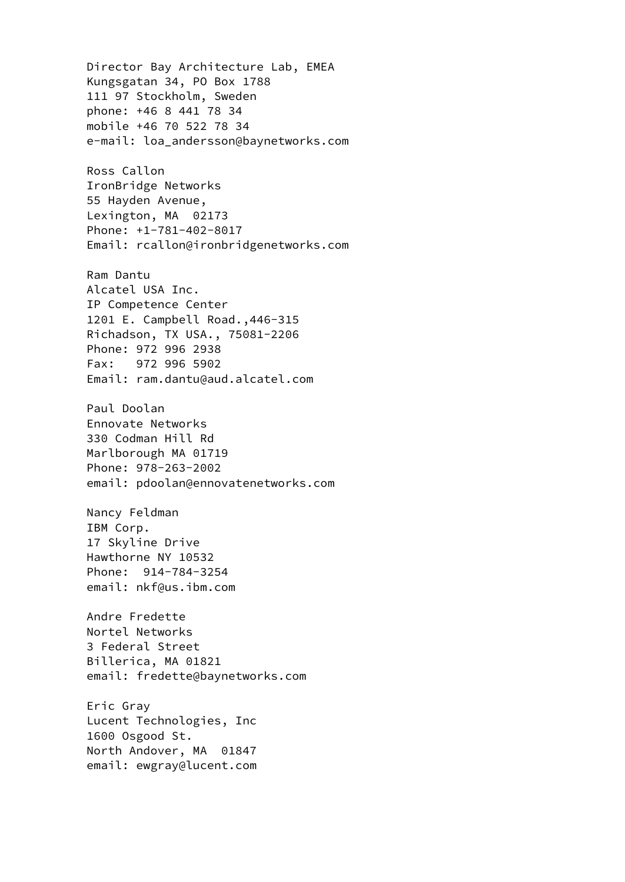Director Bay Architecture Lab, EMEA Kungsgatan 34, PO Box 1788 111 97 Stockholm, Sweden phone: +46 8 441 78 34 mobile +46 70 522 78 34 e-mail: loa\_andersson@baynetworks.com Ross Callon IronBridge Networks 55 Hayden Avenue, Lexington, MA 02173 Phone: +1-781-402-8017 Email: rcallon@ironbridgenetworks.com Ram Dantu Alcatel USA Inc. IP Competence Center 1201 E. Campbell Road.,446-315 Richadson, TX USA., 75081-2206 Phone: 972 996 2938 Fax: 972 996 5902 Email: ram.dantu@aud.alcatel.com Paul Doolan Ennovate Networks 330 Codman Hill Rd Marlborough MA 01719 Phone: 978-263-2002 email: pdoolan@ennovatenetworks.com Nancy Feldman IBM Corp. 17 Skyline Drive Hawthorne NY 10532 Phone: 914-784-3254 email: nkf@us.ibm.com Andre Fredette Nortel Networks 3 Federal Street Billerica, MA 01821 email: fredette@baynetworks.com Eric Gray Lucent Technologies, Inc 1600 Osgood St. North Andover, MA 01847 email: ewgray@lucent.com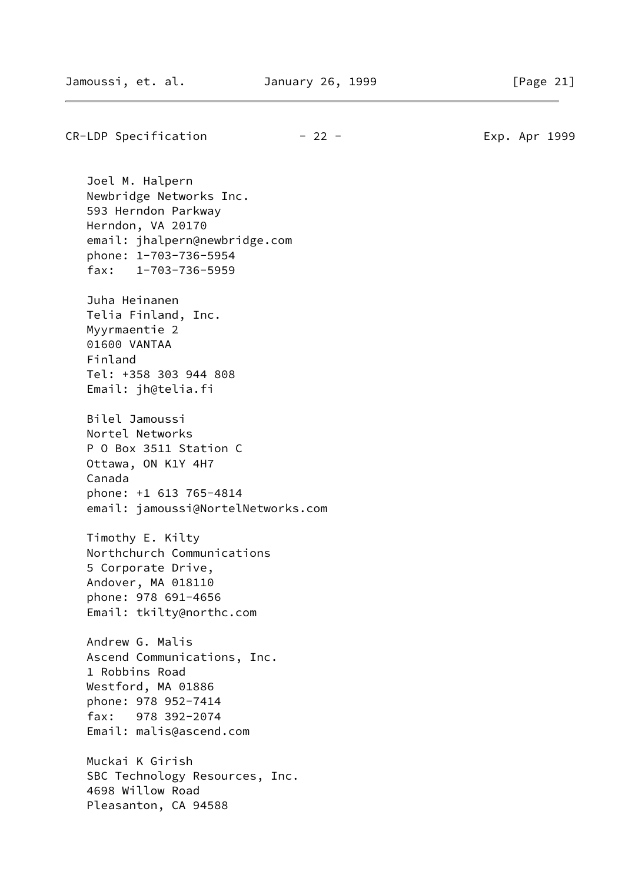CR-LDP Specification  $-22$  - Exp. Apr 1999

 Joel M. Halpern Newbridge Networks Inc. 593 Herndon Parkway Herndon, VA 20170 email: jhalpern@newbridge.com phone: 1-703-736-5954 fax: 1-703-736-5959 Juha Heinanen Telia Finland, Inc. Myyrmaentie 2 01600 VANTAA Finland Tel: +358 303 944 808 Email: jh@telia.fi Bilel Jamoussi Nortel Networks P O Box 3511 Station C Ottawa, ON K1Y 4H7 Canada phone: +1 613 765-4814 email: jamoussi@NortelNetworks.com Timothy E. Kilty Northchurch Communications 5 Corporate Drive, Andover, MA 018110 phone: 978 691-4656 Email: tkilty@northc.com Andrew G. Malis Ascend Communications, Inc. 1 Robbins Road Westford, MA 01886 phone: 978 952-7414 fax: 978 392-2074 Email: malis@ascend.com Muckai K Girish SBC Technology Resources, Inc. 4698 Willow Road Pleasanton, CA 94588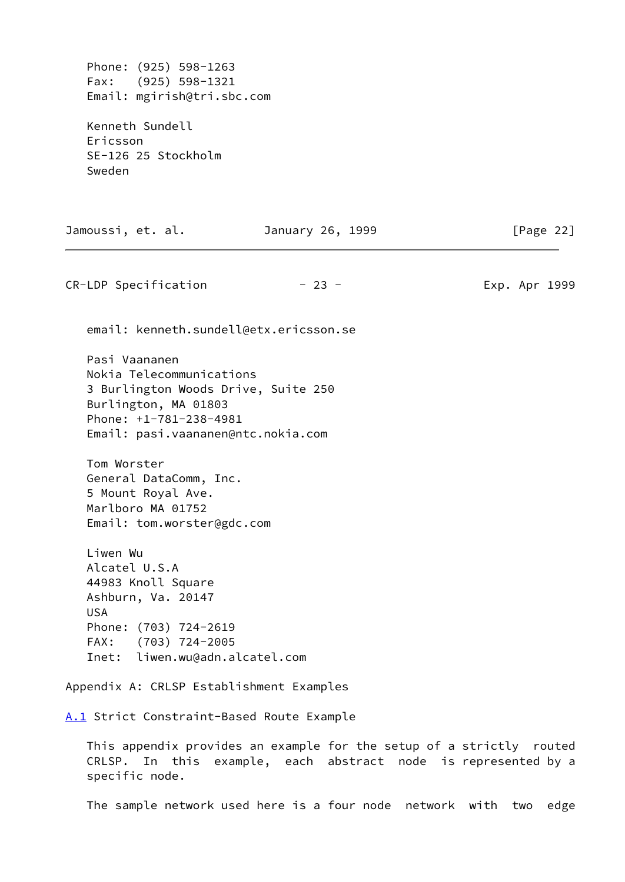Phone: (925) 598-1263 Fax: (925) 598-1321 Email: mgirish@tri.sbc.com

 Kenneth Sundell Ericsson SE-126 25 Stockholm Sweden

<span id="page-26-0"></span>specific node.

Jamoussi, et. al. January 26, 1999 [Page 22] CR-LDP Specification  $-23$  -  $-$  23 - Exp. Apr 1999 email: kenneth.sundell@etx.ericsson.se Pasi Vaananen Nokia Telecommunications 3 Burlington Woods Drive, Suite 250 Burlington, MA 01803 Phone: +1-781-238-4981 Email: pasi.vaananen@ntc.nokia.com Tom Worster General DataComm, Inc. 5 Mount Royal Ave. Marlboro MA 01752 Email: tom.worster@gdc.com Liwen Wu Alcatel U.S.A 44983 Knoll Square Ashburn, Va. 20147 USA Phone: (703) 724-2619 FAX: (703) 724-2005 Inet: liwen.wu@adn.alcatel.com Appendix A: CRLSP Establishment Examples [A.1](#page-26-0) Strict Constraint-Based Route Example This appendix provides an example for the setup of a strictly routed CRLSP. In this example, each abstract node is represented by a

The sample network used here is a four node network with two edge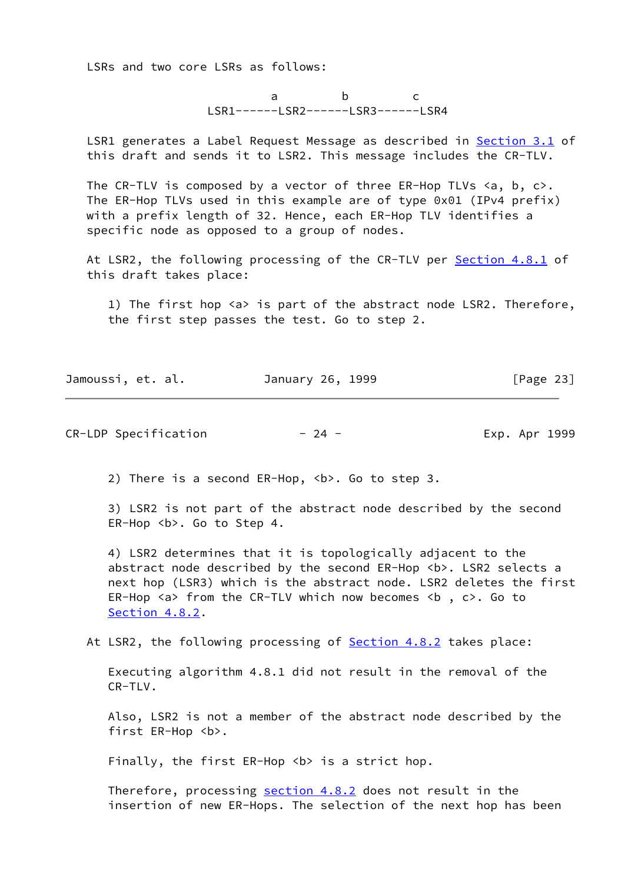LSRs and two core LSRs as follows:

a b c LSR1------LSR2------LSR3------LSR4

 LSR1 generates a Label Request Message as described in [Section 3.1](#page-4-0) of this draft and sends it to LSR2. This message includes the CR-TLV.

The CR-TLV is composed by a vector of three ER-Hop TLVs  $\langle a, b, c \rangle$ . The ER-Hop TLVs used in this example are of type 0x01 (IPv4 prefix) with a prefix length of 32. Hence, each ER-Hop TLV identifies a specific node as opposed to a group of nodes.

At LSR2, the following processing of the CR-TLV per **Section 4.8.1** of this draft takes place:

1) The first hop <a> is part of the abstract node LSR2. Therefore, the first step passes the test. Go to step 2.

Jamoussi, et. al. January 26, 1999 [Page 23]

CR-LDP Specification - 24 - Exp. Apr 1999

2) There is a second ER-Hop, <b>. Go to step 3.

 3) LSR2 is not part of the abstract node described by the second ER-Hop <b>. Go to Step 4.

 4) LSR2 determines that it is topologically adjacent to the abstract node described by the second ER-Hop <b>. LSR2 selects a next hop (LSR3) which is the abstract node. LSR2 deletes the first ER-Hop  $\langle a \rangle$  from the CR-TLV which now becomes  $\langle b, c \rangle$ . Go to [Section 4.8.2.](#page-16-1)

At LSR2, the following processing of **Section 4.8.2** takes place:

 Executing algorithm 4.8.1 did not result in the removal of the CR-TLV.

 Also, LSR2 is not a member of the abstract node described by the first ER-Hop <b>.

Finally, the first ER-Hop <b> is a strict hop.

Therefore, processing [section 4.8.2](#page-16-1) does not result in the insertion of new ER-Hops. The selection of the next hop has been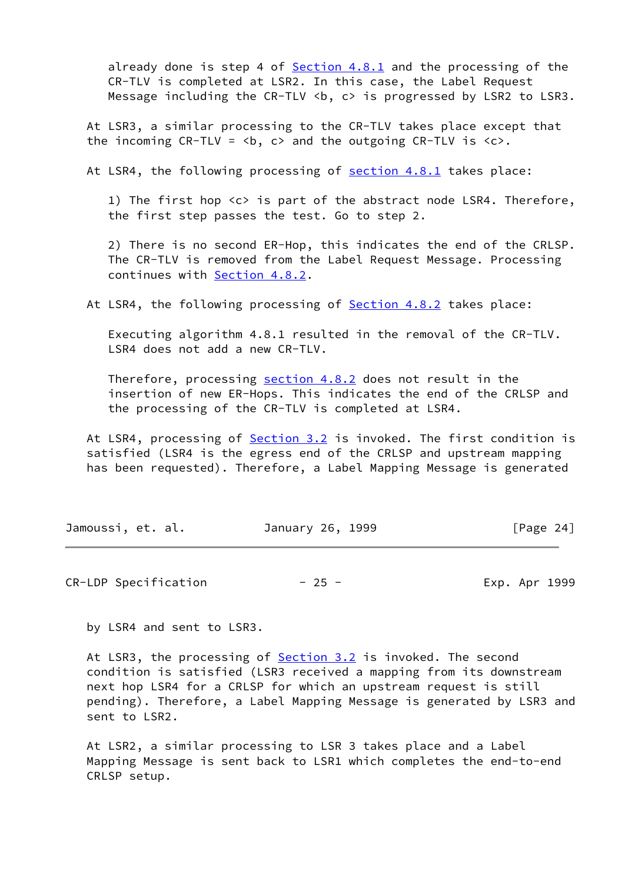already done is step 4 of [Section 4.8.1](#page-14-1) and the processing of the CR-TLV is completed at LSR2. In this case, the Label Request Message including the CR-TLV <b. c> is progressed by LSR2 to LSR3.

 At LSR3, a similar processing to the CR-TLV takes place except that the incoming CR-TLV = **, c> and the outgoing CR-TLV is**  $**6**$ **.** 

At LSR4, the following processing of [section 4.8.1](#page-14-1) takes place:

 1) The first hop <c> is part of the abstract node LSR4. Therefore, the first step passes the test. Go to step 2.

 2) There is no second ER-Hop, this indicates the end of the CRLSP. The CR-TLV is removed from the Label Request Message. Processing continues with **Section 4.8.2.** 

At LSR4, the following processing of **Section 4.8.2** takes place:

 Executing algorithm 4.8.1 resulted in the removal of the CR-TLV. LSR4 does not add a new CR-TLV.

 Therefore, processing [section 4.8.2](#page-16-1) does not result in the insertion of new ER-Hops. This indicates the end of the CRLSP and the processing of the CR-TLV is completed at LSR4.

At LSR4, processing of **[Section 3.2](#page-4-1)** is invoked. The first condition is satisfied (LSR4 is the egress end of the CRLSP and upstream mapping has been requested). Therefore, a Label Mapping Message is generated

| Jamoussi, et. al. | January 26, 1999 | [Page 24] |
|-------------------|------------------|-----------|
|-------------------|------------------|-----------|

CR-LDP Specification  $-25$  -  $-$  Exp. Apr 1999

by LSR4 and sent to LSR3.

At LSR3, the processing of **[Section 3.2](#page-4-1)** is invoked. The second condition is satisfied (LSR3 received a mapping from its downstream next hop LSR4 for a CRLSP for which an upstream request is still pending). Therefore, a Label Mapping Message is generated by LSR3 and sent to LSR2.

 At LSR2, a similar processing to LSR 3 takes place and a Label Mapping Message is sent back to LSR1 which completes the end-to-end CRLSP setup.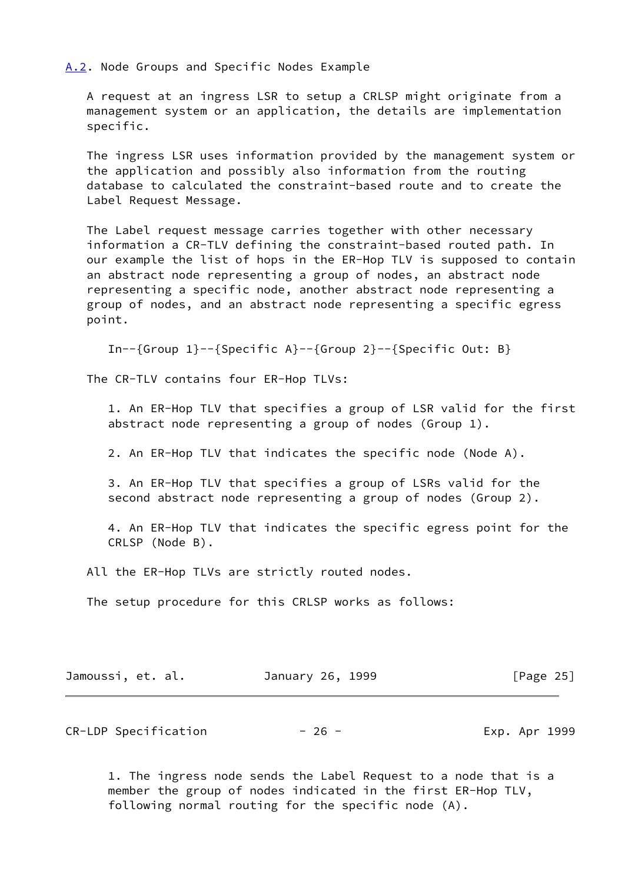<span id="page-29-0"></span>[A.2](#page-29-0). Node Groups and Specific Nodes Example

 A request at an ingress LSR to setup a CRLSP might originate from a management system or an application, the details are implementation specific.

 The ingress LSR uses information provided by the management system or the application and possibly also information from the routing database to calculated the constraint-based route and to create the Label Request Message.

 The Label request message carries together with other necessary information a CR-TLV defining the constraint-based routed path. In our example the list of hops in the ER-Hop TLV is supposed to contain an abstract node representing a group of nodes, an abstract node representing a specific node, another abstract node representing a group of nodes, and an abstract node representing a specific egress point.

In--{Group  $1$ }--{Specific A}--{Group  $2$ }--{Specific Out: B}

The CR-TLV contains four ER-Hop TLVs:

 1. An ER-Hop TLV that specifies a group of LSR valid for the first abstract node representing a group of nodes (Group 1).

2. An ER-Hop TLV that indicates the specific node (Node A).

 3. An ER-Hop TLV that specifies a group of LSRs valid for the second abstract node representing a group of nodes (Group 2).

 4. An ER-Hop TLV that indicates the specific egress point for the CRLSP (Node B).

All the ER-Hop TLVs are strictly routed nodes.

The setup procedure for this CRLSP works as follows:

| Jamoussi, et. al. | January 26, 1999 | [Page 25] |
|-------------------|------------------|-----------|
|                   |                  |           |

CR-LDP Specification  $-26$  -  $-$  Exp. Apr 1999

 1. The ingress node sends the Label Request to a node that is a member the group of nodes indicated in the first ER-Hop TLV, following normal routing for the specific node (A).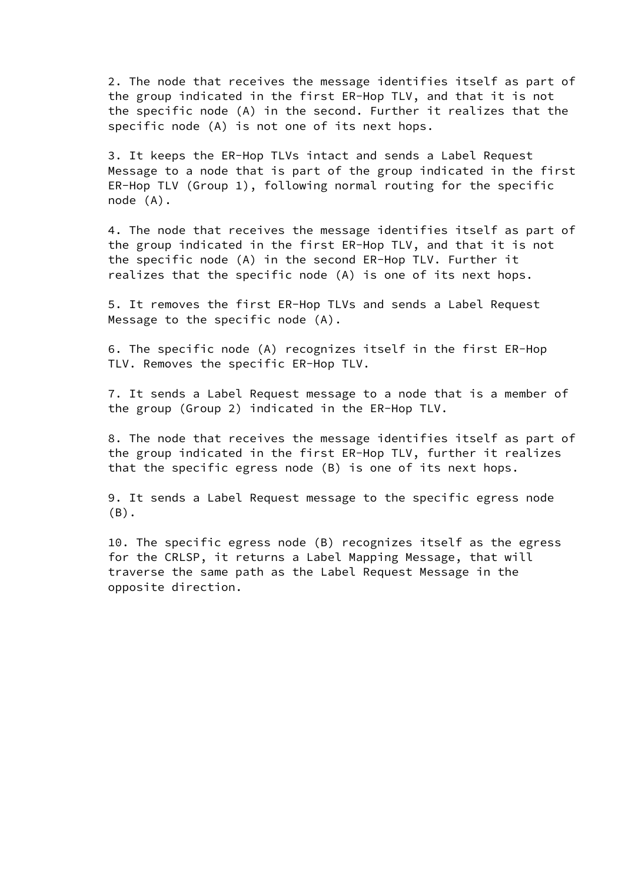2. The node that receives the message identifies itself as part of the group indicated in the first ER-Hop TLV, and that it is not the specific node (A) in the second. Further it realizes that the specific node (A) is not one of its next hops.

 3. It keeps the ER-Hop TLVs intact and sends a Label Request Message to a node that is part of the group indicated in the first ER-Hop TLV (Group 1), following normal routing for the specific node (A).

 4. The node that receives the message identifies itself as part of the group indicated in the first ER-Hop TLV, and that it is not the specific node (A) in the second ER-Hop TLV. Further it realizes that the specific node (A) is one of its next hops.

 5. It removes the first ER-Hop TLVs and sends a Label Request Message to the specific node (A).

 6. The specific node (A) recognizes itself in the first ER-Hop TLV. Removes the specific ER-Hop TLV.

 7. It sends a Label Request message to a node that is a member of the group (Group 2) indicated in the ER-Hop TLV.

 8. The node that receives the message identifies itself as part of the group indicated in the first ER-Hop TLV, further it realizes that the specific egress node (B) is one of its next hops.

 9. It sends a Label Request message to the specific egress node (B).

 10. The specific egress node (B) recognizes itself as the egress for the CRLSP, it returns a Label Mapping Message, that will traverse the same path as the Label Request Message in the opposite direction.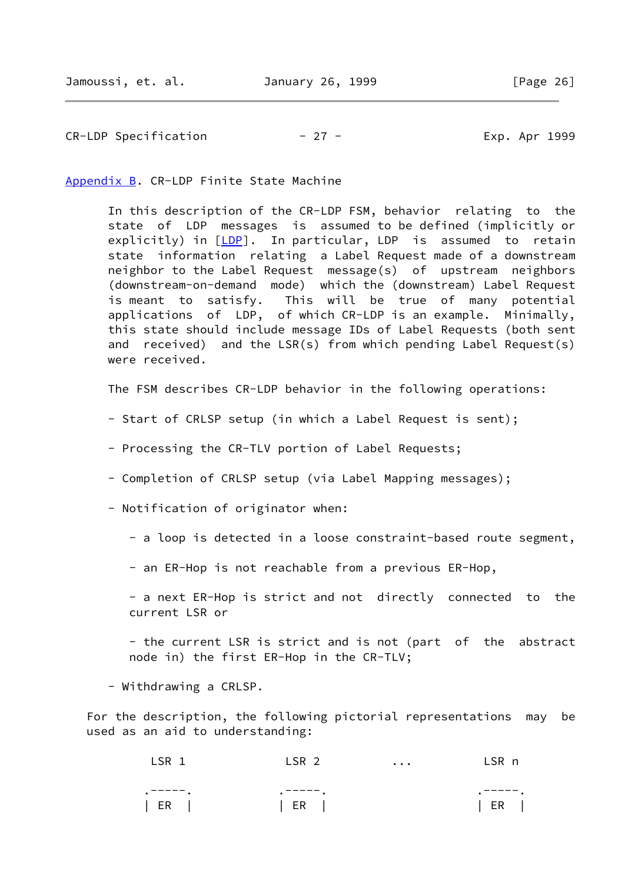CR-LDP Specification  $-27$  - The Exp. Apr 1999

<span id="page-31-0"></span>[Appendix B.](#page-31-0) CR-LDP Finite State Machine

 In this description of the CR-LDP FSM, behavior relating to the state of LDP messages is assumed to be defined (implicitly or explicitly) in [[LDP](#page-23-0)]. In particular, LDP is assumed to retain state information relating a Label Request made of a downstream neighbor to the Label Request message(s) of upstream neighbors (downstream-on-demand mode) which the (downstream) Label Request is meant to satisfy. This will be true of many potential applications of LDP, of which CR-LDP is an example. Minimally, this state should include message IDs of Label Requests (both sent and received) and the LSR(s) from which pending Label Request(s) were received.

The FSM describes CR-LDP behavior in the following operations:

- Start of CRLSP setup (in which a Label Request is sent);
- Processing the CR-TLV portion of Label Requests;
- Completion of CRLSP setup (via Label Mapping messages);
- Notification of originator when:
	- a loop is detected in a loose constraint-based route segment,
	- an ER-Hop is not reachable from a previous ER-Hop,
	- a next ER-Hop is strict and not directly connected to the current LSR or

 - the current LSR is strict and is not (part of the abstract node in) the first ER-Hop in the CR-TLV;

- Withdrawing a CRLSP.

 For the description, the following pictorial representations may be used as an aid to understanding:

| LSR .  | LSR <sub>2</sub> | $\cdots$ | LSR n |
|--------|------------------|----------|-------|
| ------ | -----<br>٠       |          | ----- |
| ER     | ER               |          | ER    |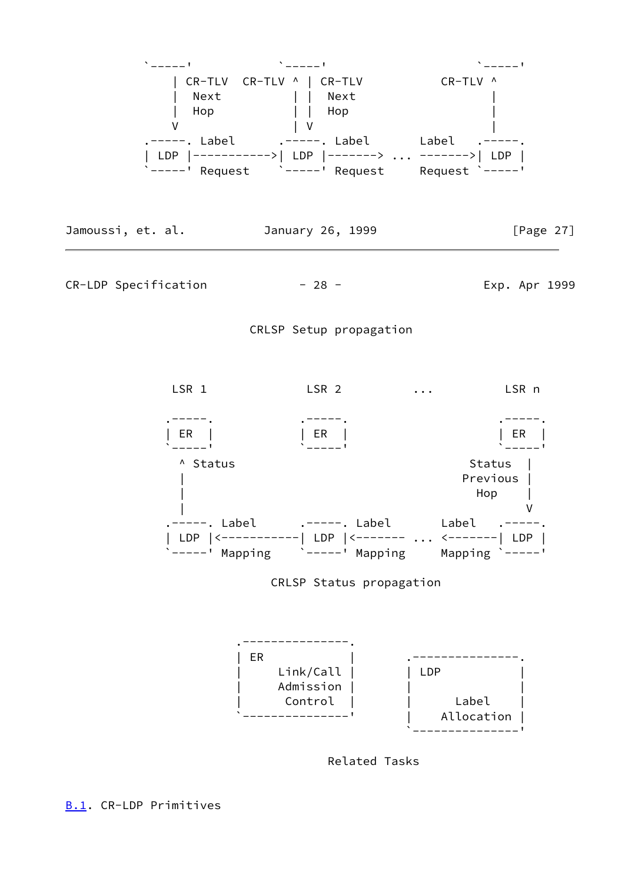

<span id="page-32-0"></span>

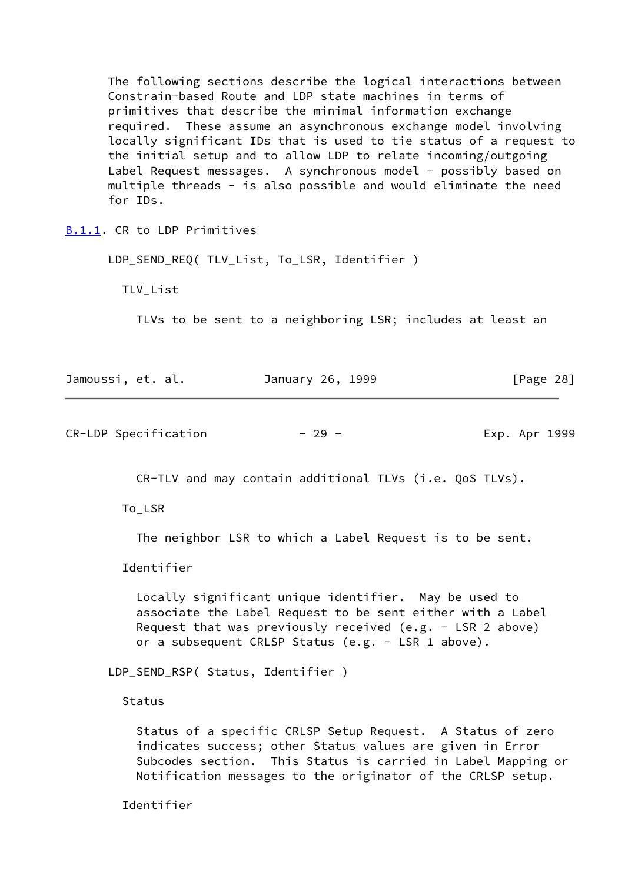The following sections describe the logical interactions between Constrain-based Route and LDP state machines in terms of primitives that describe the minimal information exchange required. These assume an asynchronous exchange model involving locally significant IDs that is used to tie status of a request to the initial setup and to allow LDP to relate incoming/outgoing Label Request messages. A synchronous model - possibly based on multiple threads - is also possible and would eliminate the need for IDs.

<span id="page-33-0"></span>[B.1.1](#page-33-0). CR to LDP Primitives

LDP\_SEND\_REQ( TLV\_List, To\_LSR, Identifier )

TLV\_List

TLVs to be sent to a neighboring LSR; includes at least an

| Jamoussi, et. al. |  | January 26, 1999 |  | [Page 28] |  |
|-------------------|--|------------------|--|-----------|--|
|                   |  |                  |  |           |  |

CR-LDP Specification - 29 - Exp. Apr 1999

CR-TLV and may contain additional TLVs (i.e. QoS TLVs).

To\_LSR

The neighbor LSR to which a Label Request is to be sent.

Identifier

 Locally significant unique identifier. May be used to associate the Label Request to be sent either with a Label Request that was previously received (e.g. - LSR 2 above) or a subsequent CRLSP Status (e.g. - LSR 1 above).

LDP\_SEND\_RSP( Status, Identifier )

Status

 Status of a specific CRLSP Setup Request. A Status of zero indicates success; other Status values are given in Error Subcodes section. This Status is carried in Label Mapping or Notification messages to the originator of the CRLSP setup.

Identifier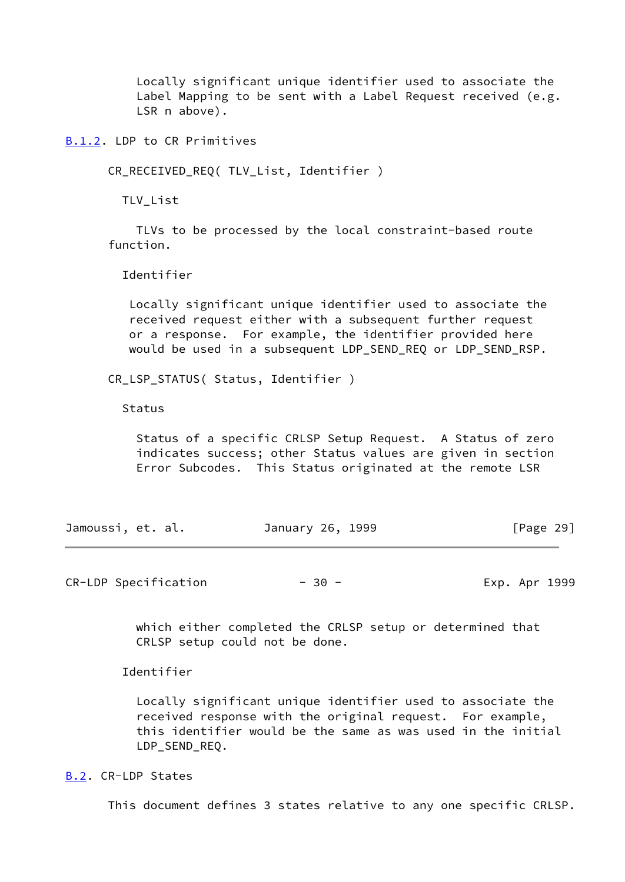Locally significant unique identifier used to associate the Label Mapping to be sent with a Label Request received (e.g. LSR n above).

<span id="page-34-0"></span>[B.1.2](#page-34-0). LDP to CR Primitives

CR\_RECEIVED\_REQ( TLV\_List, Identifier )

TLV\_List

 TLVs to be processed by the local constraint-based route function.

Identifier

 Locally significant unique identifier used to associate the received request either with a subsequent further request or a response. For example, the identifier provided here would be used in a subsequent LDP\_SEND\_REQ or LDP\_SEND\_RSP.

CR\_LSP\_STATUS( Status, Identifier )

Status

 Status of a specific CRLSP Setup Request. A Status of zero indicates success; other Status values are given in section Error Subcodes. This Status originated at the remote LSR

| Jamoussi, et. al. |  | January 26, 1999 |  | [Page 29] |  |
|-------------------|--|------------------|--|-----------|--|
|                   |  |                  |  |           |  |

CR-LDP Specification  $-30 -$  30 - Exp. Apr 1999

 which either completed the CRLSP setup or determined that CRLSP setup could not be done.

Identifier

 Locally significant unique identifier used to associate the received response with the original request. For example, this identifier would be the same as was used in the initial LDP\_SEND\_REQ.

<span id="page-34-1"></span>[B.2](#page-34-1). CR-LDP States

This document defines 3 states relative to any one specific CRLSP.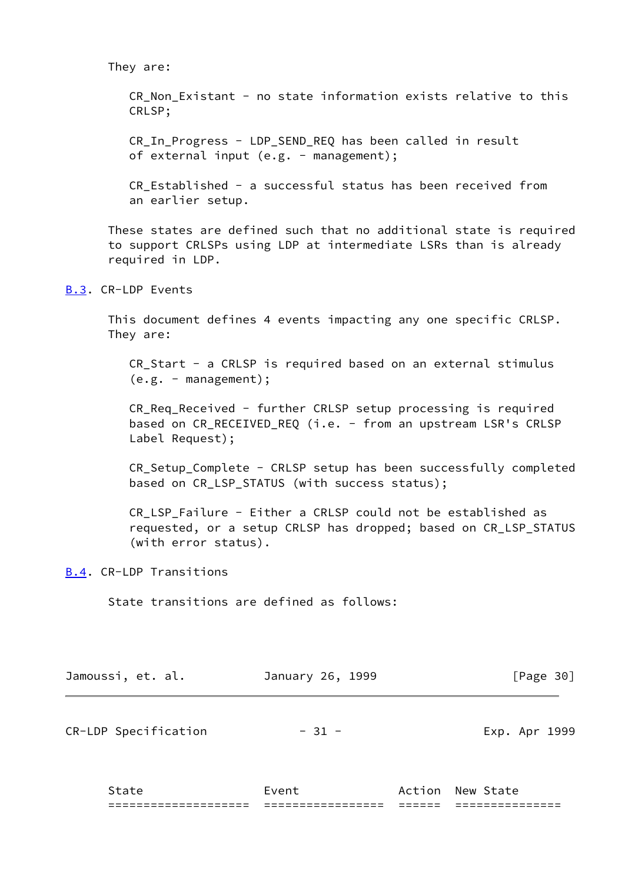#### They are:

CR Non Existant - no state information exists relative to this CRLSP;

 CR\_In\_Progress - LDP\_SEND\_REQ has been called in result of external input (e.g. - management);

 CR\_Established - a successful status has been received from an earlier setup.

 These states are defined such that no additional state is required to support CRLSPs using LDP at intermediate LSRs than is already required in LDP.

# <span id="page-35-0"></span>[B.3](#page-35-0). CR-LDP Events

 This document defines 4 events impacting any one specific CRLSP. They are:

 CR\_Start - a CRLSP is required based on an external stimulus (e.g. - management);

 CR\_Req\_Received - further CRLSP setup processing is required based on CR\_RECEIVED\_REQ (i.e. - from an upstream LSR's CRLSP Label Request);

 CR\_Setup\_Complete - CRLSP setup has been successfully completed based on CR\_LSP\_STATUS (with success status);

 CR\_LSP\_Failure - Either a CRLSP could not be established as requested, or a setup CRLSP has dropped; based on CR\_LSP\_STATUS (with error status).

<span id="page-35-1"></span>[B.4](#page-35-1). CR-LDP Transitions

State transitions are defined as follows:

| Jamoussi, et. al.    | January 26, 1999 | [Page 30]     |  |  |
|----------------------|------------------|---------------|--|--|
| CR-LDP Specification | $-31 -$          | Exp. Apr 1999 |  |  |
|                      |                  |               |  |  |

State **Event** Event Action New State ==================== ================= ====== ===============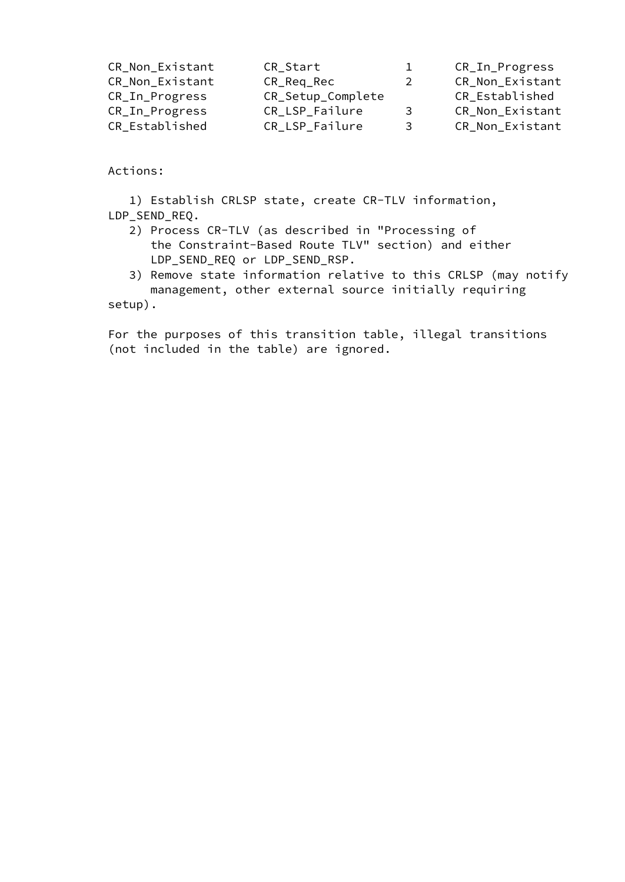| CR_Non_Existant | CR_Start          | $\perp$                 | CR_In_Progress  |
|-----------------|-------------------|-------------------------|-----------------|
| CR_Non_Existant | CR_Req_Rec        | 2                       | CR_Non_Existant |
| CR_In_Progress  | CR_Setup_Complete |                         | CR_Established  |
| CR_In_Progress  | CR_LSP_Failure    | 3                       | CR_Non_Existant |
| CR_Established  | CR_LSP_Failure    | $\overline{\mathbf{3}}$ | CR_Non_Existant |
|                 |                   |                         |                 |

Actions:

 1) Establish CRLSP state, create CR-TLV information, LDP\_SEND\_REQ.

- 2) Process CR-TLV (as described in "Processing of the Constraint-Based Route TLV" section) and either LDP\_SEND\_REQ or LDP\_SEND\_RSP.
- 3) Remove state information relative to this CRLSP (may notify management, other external source initially requiring

setup).

 For the purposes of this transition table, illegal transitions (not included in the table) are ignored.